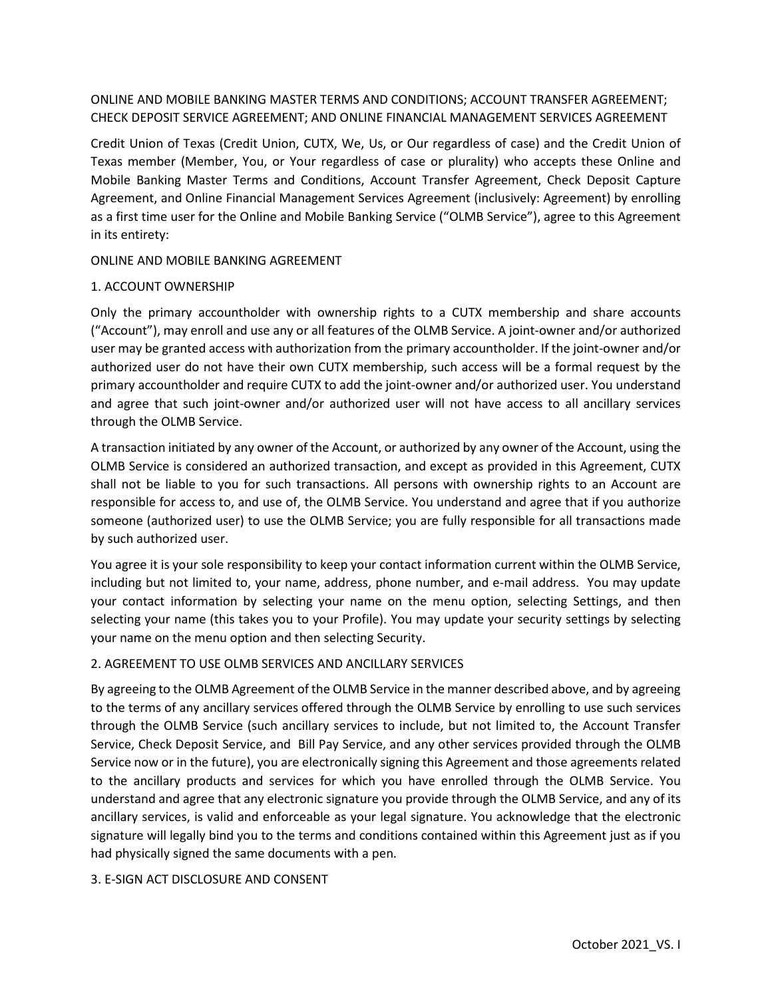# ONLINE AND MOBILE BANKING MASTER TERMS AND CONDITIONS; ACCOUNT TRANSFER AGREEMENT; CHECK DEPOSIT SERVICE AGREEMENT; AND ONLINE FINANCIAL MANAGEMENT SERVICES AGREEMENT

Credit Union of Texas (Credit Union, CUTX, We, Us, or Our regardless of case) and the Credit Union of Texas member (Member, You, or Your regardless of case or plurality) who accepts these Online and Mobile Banking Master Terms and Conditions, Account Transfer Agreement, Check Deposit Capture Agreement, and Online Financial Management Services Agreement (inclusively: Agreement) by enrolling as a first time user for the Online and Mobile Banking Service ("OLMB Service"), agree to this Agreement in its entirety:

ONLINE AND MOBILE BANKING AGREEMENT

### 1. ACCOUNT OWNERSHIP

Only the primary accountholder with ownership rights to a CUTX membership and share accounts ("Account"), may enroll and use any or all features of the OLMB Service. A joint-owner and/or authorized user may be granted access with authorization from the primary accountholder. If the joint-owner and/or authorized user do not have their own CUTX membership, such access will be a formal request by the primary accountholder and require CUTX to add the joint-owner and/or authorized user. You understand and agree that such joint-owner and/or authorized user will not have access to all ancillary services through the OLMB Service.

A transaction initiated by any owner of the Account, or authorized by any owner of the Account, using the OLMB Service is considered an authorized transaction, and except as provided in this Agreement, CUTX shall not be liable to you for such transactions. All persons with ownership rights to an Account are responsible for access to, and use of, the OLMB Service. You understand and agree that if you authorize someone (authorized user) to use the OLMB Service; you are fully responsible for all transactions made by such authorized user.

You agree it is your sole responsibility to keep your contact information current within the OLMB Service, including but not limited to, your name, address, phone number, and e-mail address. You may update your contact information by selecting your name on the menu option, selecting Settings, and then selecting your name (this takes you to your Profile). You may update your security settings by selecting your name on the menu option and then selecting Security.

## 2. AGREEMENT TO USE OLMB SERVICES AND ANCILLARY SERVICES

By agreeing to the OLMB Agreement of the OLMB Service in the manner described above, and by agreeing to the terms of any ancillary services offered through the OLMB Service by enrolling to use such services through the OLMB Service (such ancillary services to include, but not limited to, the Account Transfer Service, Check Deposit Service, and Bill Pay Service, and any other services provided through the OLMB Service now or in the future), you are electronically signing this Agreement and those agreements related to the ancillary products and services for which you have enrolled through the OLMB Service. You understand and agree that any electronic signature you provide through the OLMB Service, and any of its ancillary services, is valid and enforceable as your legal signature. You acknowledge that the electronic signature will legally bind you to the terms and conditions contained within this Agreement just as if you had physically signed the same documents with a pen.

#### 3. E-SIGN ACT DISCLOSURE AND CONSENT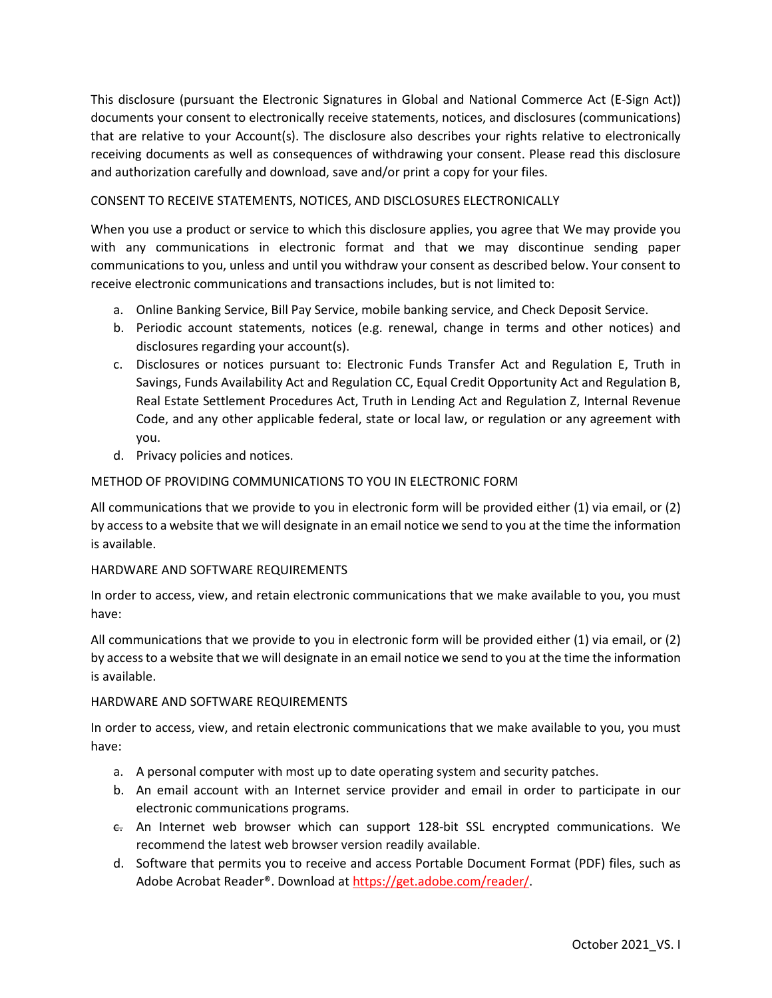This disclosure (pursuant the Electronic Signatures in Global and National Commerce Act (E-Sign Act)) documents your consent to electronically receive statements, notices, and disclosures (communications) that are relative to your Account(s). The disclosure also describes your rights relative to electronically receiving documents as well as consequences of withdrawing your consent. Please read this disclosure and authorization carefully and download, save and/or print a copy for your files.

# CONSENT TO RECEIVE STATEMENTS, NOTICES, AND DISCLOSURES ELECTRONICALLY

When you use a product or service to which this disclosure applies, you agree that We may provide you with any communications in electronic format and that we may discontinue sending paper communications to you, unless and until you withdraw your consent as described below. Your consent to receive electronic communications and transactions includes, but is not limited to:

- a. Online Banking Service, Bill Pay Service, mobile banking service, and Check Deposit Service.
- b. Periodic account statements, notices (e.g. renewal, change in terms and other notices) and disclosures regarding your account(s).
- c. Disclosures or notices pursuant to: Electronic Funds Transfer Act and Regulation E, Truth in Savings, Funds Availability Act and Regulation CC, Equal Credit Opportunity Act and Regulation B, Real Estate Settlement Procedures Act, Truth in Lending Act and Regulation Z, Internal Revenue Code, and any other applicable federal, state or local law, or regulation or any agreement with you.
- d. Privacy policies and notices.

## METHOD OF PROVIDING COMMUNICATIONS TO YOU IN ELECTRONIC FORM

All communications that we provide to you in electronic form will be provided either (1) via email, or (2) by access to a website that we will designate in an email notice we send to you at the time the information is available.

## HARDWARE AND SOFTWARE REQUIREMENTS

In order to access, view, and retain electronic communications that we make available to you, you must have:

All communications that we provide to you in electronic form will be provided either (1) via email, or (2) by access to a website that we will designate in an email notice we send to you at the time the information is available.

## HARDWARE AND SOFTWARE REQUIREMENTS

In order to access, view, and retain electronic communications that we make available to you, you must have:

- a. A personal computer with most up to date operating system and security patches.
- b. An email account with an Internet service provider and email in order to participate in our electronic communications programs.
- $\epsilon$ . An Internet web browser which can support 128-bit SSL encrypted communications. We recommend the latest web browser version readily available.
- d. Software that permits you to receive and access Portable Document Format (PDF) files, such as Adobe Acrobat Reader®. Download a[t https://get.adobe.com/reader/.](https://get.adobe.com/reader/)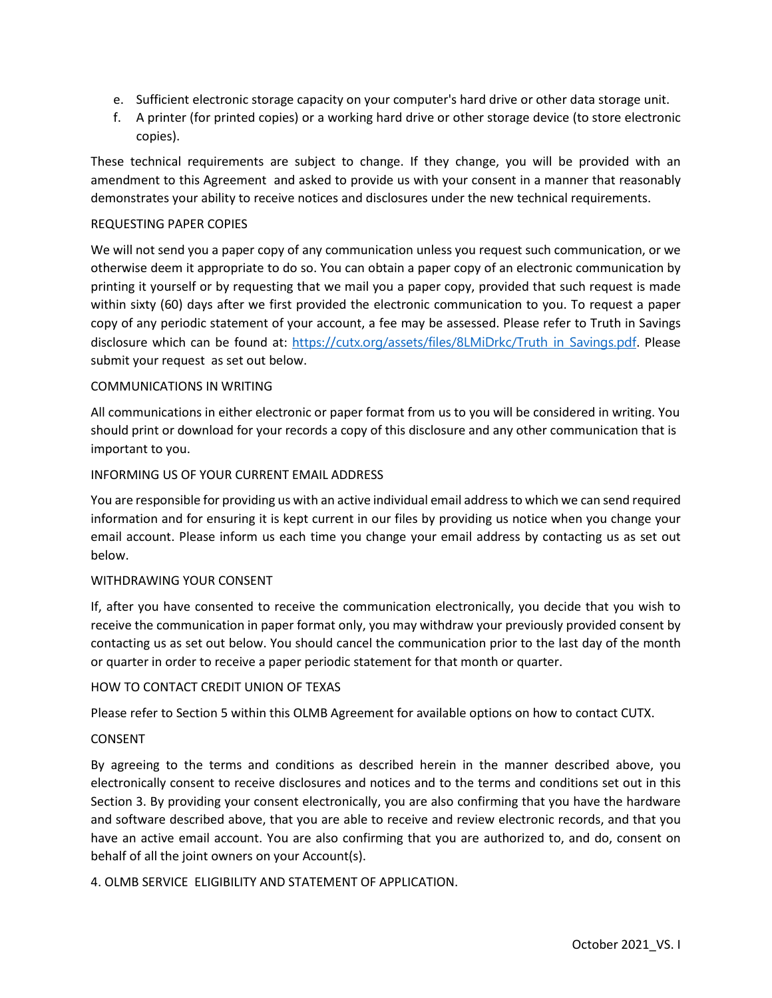- e. Sufficient electronic storage capacity on your computer's hard drive or other data storage unit.
- f. A printer (for printed copies) or a working hard drive or other storage device (to store electronic copies).

These technical requirements are subject to change. If they change, you will be provided with an amendment to this Agreement and asked to provide us with your consent in a manner that reasonably demonstrates your ability to receive notices and disclosures under the new technical requirements.

## REQUESTING PAPER COPIES

We will not send you a paper copy of any communication unless you request such communication, or we otherwise deem it appropriate to do so. You can obtain a paper copy of an electronic communication by printing it yourself or by requesting that we mail you a paper copy, provided that such request is made within sixty (60) days after we first provided the electronic communication to you. To request a paper copy of any periodic statement of your account, a fee may be assessed. Please refer to Truth in Savings disclosure which can be found at: https://[cutx.org/assets/files/8LMiDrkc/Truth in Savings.pdf](https://cutx.org/assets/files/8LMiDrkc/Truth%20in%20Savings.pdf). Please submit your request as set out below.

### COMMUNICATIONS IN WRITING

All communications in either electronic or paper format from us to you will be considered in writing. You should print or download for your records a copy of this disclosure and any other communication that is important to you.

### INFORMING US OF YOUR CURRENT EMAIL ADDRESS

You are responsible for providing us with an active individual email address to which we can send required information and for ensuring it is kept current in our files by providing us notice when you change your email account. Please inform us each time you change your email address by contacting us as set out below.

## WITHDRAWING YOUR CONSENT

If, after you have consented to receive the communication electronically, you decide that you wish to receive the communication in paper format only, you may withdraw your previously provided consent by contacting us as set out below. You should cancel the communication prior to the last day of the month or quarter in order to receive a paper periodic statement for that month or quarter.

#### HOW TO CONTACT CREDIT UNION OF TEXAS

Please refer to Section 5 within this OLMB Agreement for available options on how to contact CUTX.

#### CONSENT

By agreeing to the terms and conditions as described herein in the manner described above, you electronically consent to receive disclosures and notices and to the terms and conditions set out in this Section 3. By providing your consent electronically, you are also confirming that you have the hardware and software described above, that you are able to receive and review electronic records, and that you have an active email account. You are also confirming that you are authorized to, and do, consent on behalf of all the joint owners on your Account(s).

## 4. OLMB SERVICE ELIGIBILITY AND STATEMENT OF APPLICATION.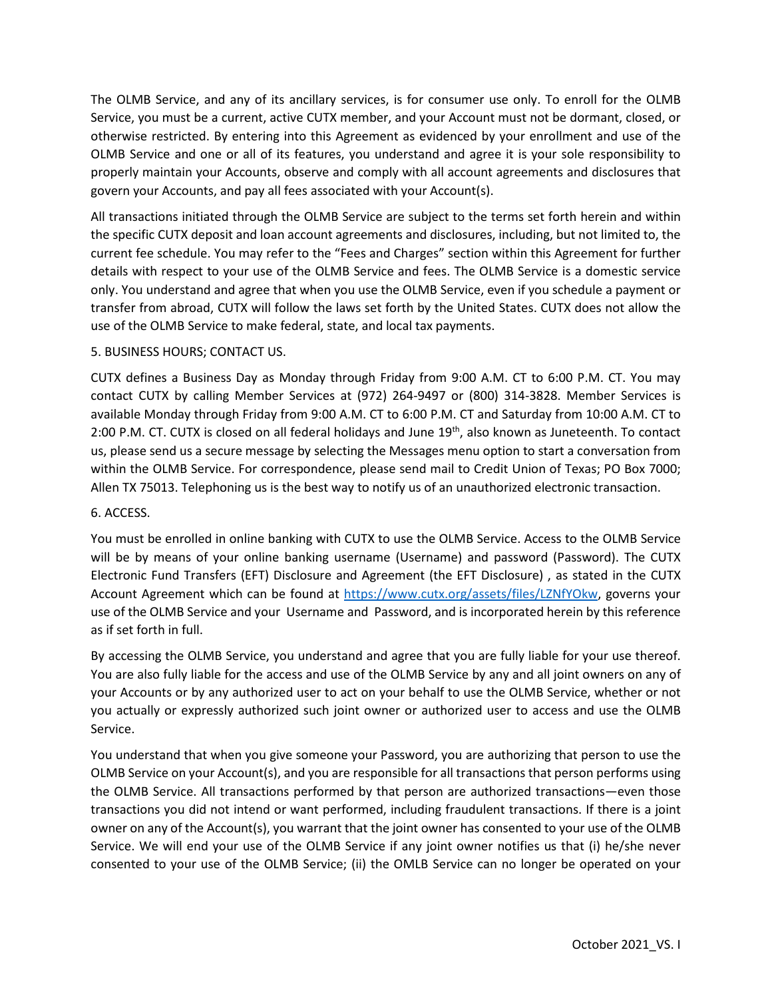The OLMB Service, and any of its ancillary services, is for consumer use only. To enroll for the OLMB Service, you must be a current, active CUTX member, and your Account must not be dormant, closed, or otherwise restricted. By entering into this Agreement as evidenced by your enrollment and use of the OLMB Service and one or all of its features, you understand and agree it is your sole responsibility to properly maintain your Accounts, observe and comply with all account agreements and disclosures that govern your Accounts, and pay all fees associated with your Account(s).

All transactions initiated through the OLMB Service are subject to the terms set forth herein and within the specific CUTX deposit and loan account agreements and disclosures, including, but not limited to, the current fee schedule. You may refer to the "Fees and Charges" section within this Agreement for further details with respect to your use of the OLMB Service and fees. The OLMB Service is a domestic service only. You understand and agree that when you use the OLMB Service, even if you schedule a payment or transfer from abroad, CUTX will follow the laws set forth by the United States. CUTX does not allow the use of the OLMB Service to make federal, state, and local tax payments.

# 5. BUSINESS HOURS; CONTACT US.

CUTX defines a Business Day as Monday through Friday from 9:00 A.M. CT to 6:00 P.M. CT. You may contact CUTX by calling Member Services at (972) 264-9497 or (800) 314-3828. Member Services is available Monday through Friday from 9:00 A.M. CT to 6:00 P.M. CT and Saturday from 10:00 A.M. CT to 2:00 P.M. CT. CUTX is closed on all federal holidays and June 19<sup>th</sup>, also known as Juneteenth. To contact us, please send us a secure message by selecting the Messages menu option to start a conversation from within the OLMB Service. For correspondence, please send mail to Credit Union of Texas; PO Box 7000; Allen TX 75013. Telephoning us is the best way to notify us of an unauthorized electronic transaction.

## 6. ACCESS.

You must be enrolled in online banking with CUTX to use the OLMB Service. Access to the OLMB Service will be by means of your online banking username (Username) and password (Password). The CUTX Electronic Fund Transfers (EFT) Disclosure and Agreement (the EFT Disclosure) , as stated in the CUTX Account Agreement which can be found at [https://www.cutx.org/assets/files/LZNfYOkw,](https://www.cutx.org/assets/files/LZNfYOkw) governs your use of the OLMB Service and your Username and Password, and is incorporated herein by this reference as if set forth in full.

By accessing the OLMB Service, you understand and agree that you are fully liable for your use thereof. You are also fully liable for the access and use of the OLMB Service by any and all joint owners on any of your Accounts or by any authorized user to act on your behalf to use the OLMB Service, whether or not you actually or expressly authorized such joint owner or authorized user to access and use the OLMB Service.

You understand that when you give someone your Password, you are authorizing that person to use the OLMB Service on your Account(s), and you are responsible for all transactions that person performs using the OLMB Service. All transactions performed by that person are authorized transactions—even those transactions you did not intend or want performed, including fraudulent transactions. If there is a joint owner on any of the Account(s), you warrant that the joint owner has consented to your use of the OLMB Service. We will end your use of the OLMB Service if any joint owner notifies us that (i) he/she never consented to your use of the OLMB Service; (ii) the OMLB Service can no longer be operated on your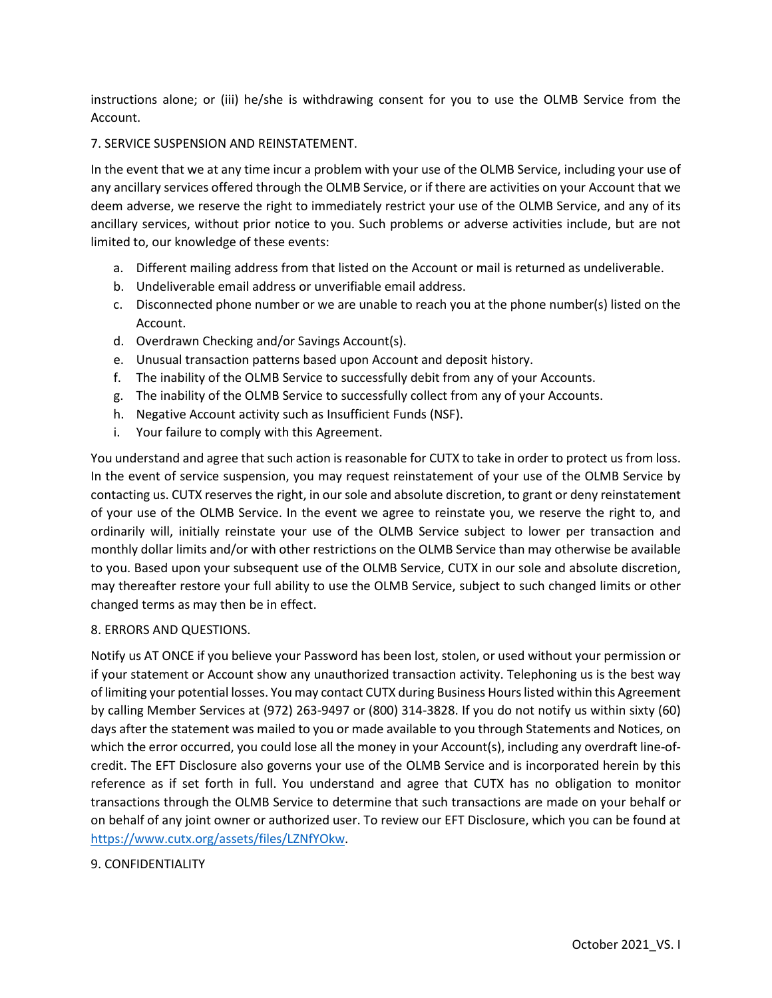instructions alone; or (iii) he/she is withdrawing consent for you to use the OLMB Service from the Account.

## 7. SERVICE SUSPENSION AND REINSTATEMENT.

In the event that we at any time incur a problem with your use of the OLMB Service, including your use of any ancillary services offered through the OLMB Service, or if there are activities on your Account that we deem adverse, we reserve the right to immediately restrict your use of the OLMB Service, and any of its ancillary services, without prior notice to you. Such problems or adverse activities include, but are not limited to, our knowledge of these events:

- a. Different mailing address from that listed on the Account or mail is returned as undeliverable.
- b. Undeliverable email address or unverifiable email address.
- c. Disconnected phone number or we are unable to reach you at the phone number(s) listed on the Account.
- d. Overdrawn Checking and/or Savings Account(s).
- e. Unusual transaction patterns based upon Account and deposit history.
- f. The inability of the OLMB Service to successfully debit from any of your Accounts.
- g. The inability of the OLMB Service to successfully collect from any of your Accounts.
- h. Negative Account activity such as Insufficient Funds (NSF).
- i. Your failure to comply with this Agreement.

You understand and agree that such action is reasonable for CUTX to take in order to protect us from loss. In the event of service suspension, you may request reinstatement of your use of the OLMB Service by contacting us. CUTX reserves the right, in our sole and absolute discretion, to grant or deny reinstatement of your use of the OLMB Service. In the event we agree to reinstate you, we reserve the right to, and ordinarily will, initially reinstate your use of the OLMB Service subject to lower per transaction and monthly dollar limits and/or with other restrictions on the OLMB Service than may otherwise be available to you. Based upon your subsequent use of the OLMB Service, CUTX in our sole and absolute discretion, may thereafter restore your full ability to use the OLMB Service, subject to such changed limits or other changed terms as may then be in effect.

## 8. ERRORS AND QUESTIONS.

Notify us AT ONCE if you believe your Password has been lost, stolen, or used without your permission or if your statement or Account show any unauthorized transaction activity. Telephoning us is the best way of limiting your potential losses. You may contact CUTX during Business Hours listed within this Agreement by calling Member Services at (972) 263-9497 or (800) 314-3828. If you do not notify us within sixty (60) days after the statement was mailed to you or made available to you through Statements and Notices, on which the error occurred, you could lose all the money in your Account(s), including any overdraft line-ofcredit. The EFT Disclosure also governs your use of the OLMB Service and is incorporated herein by this reference as if set forth in full. You understand and agree that CUTX has no obligation to monitor transactions through the OLMB Service to determine that such transactions are made on your behalf or on behalf of any joint owner or authorized user. To review our EFT Disclosure, which you can be found at [https://www.cutx.org/assets/files/LZNfYOkw.](https://www.cutx.org/assets/files/LZNfYOkw)

## 9. CONFIDENTIALITY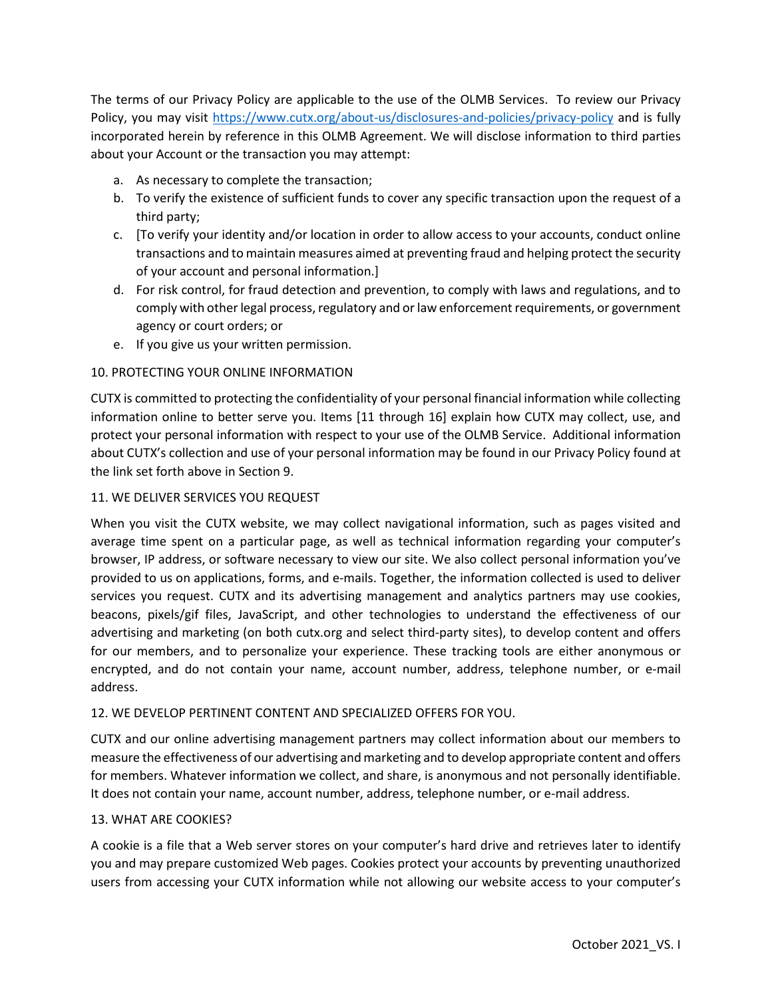The terms of our Privacy Policy are applicable to the use of the OLMB Services. To review our Privacy Policy, you may visit<https://www.cutx.org/about-us/disclosures-and-policies/privacy-policy> and is fully incorporated herein by reference in this OLMB Agreement. We will disclose information to third parties about your Account or the transaction you may attempt:

- a. As necessary to complete the transaction;
- b. To verify the existence of sufficient funds to cover any specific transaction upon the request of a third party;
- c. [To verify your identity and/or location in order to allow access to your accounts, conduct online transactions and to maintain measures aimed at preventing fraud and helping protect the security of your account and personal information.]
- d. For risk control, for fraud detection and prevention, to comply with laws and regulations, and to comply with other legal process, regulatory and or law enforcement requirements, or government agency or court orders; or
- e. If you give us your written permission.

# 10. PROTECTING YOUR ONLINE INFORMATION

CUTX is committed to protecting the confidentiality of your personal financial information while collecting information online to better serve you. Items [11 through 16] explain how CUTX may collect, use, and protect your personal information with respect to your use of the OLMB Service. Additional information about CUTX's collection and use of your personal information may be found in our Privacy Policy found at the link set forth above in Section 9.

## 11. WE DELIVER SERVICES YOU REQUEST

When you visit the CUTX website, we may collect navigational information, such as pages visited and average time spent on a particular page, as well as technical information regarding your computer's browser, IP address, or software necessary to view our site. We also collect personal information you've provided to us on applications, forms, and e-mails. Together, the information collected is used to deliver services you request. CUTX and its advertising management and analytics partners may use cookies, beacons, pixels/gif files, JavaScript, and other technologies to understand the effectiveness of our advertising and marketing (on both cutx.org and select third-party sites), to develop content and offers for our members, and to personalize your experience. These tracking tools are either anonymous or encrypted, and do not contain your name, account number, address, telephone number, or e-mail address.

## 12. WE DEVELOP PERTINENT CONTENT AND SPECIALIZED OFFERS FOR YOU.

CUTX and our online advertising management partners may collect information about our members to measure the effectiveness of our advertising and marketing and to develop appropriate content and offers for members. Whatever information we collect, and share, is anonymous and not personally identifiable. It does not contain your name, account number, address, telephone number, or e-mail address.

## 13. WHAT ARE COOKIES?

A cookie is a file that a Web server stores on your computer's hard drive and retrieves later to identify you and may prepare customized Web pages. Cookies protect your accounts by preventing unauthorized users from accessing your CUTX information while not allowing our website access to your computer's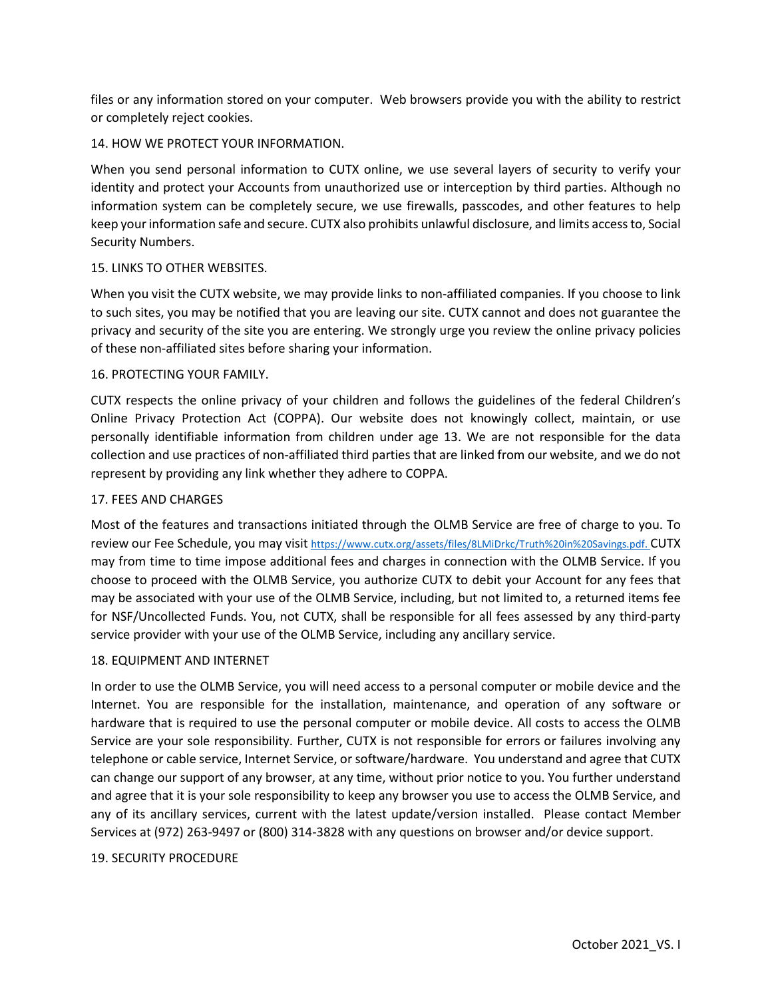files or any information stored on your computer. Web browsers provide you with the ability to restrict or completely reject cookies.

## 14. HOW WE PROTECT YOUR INFORMATION.

When you send personal information to CUTX online, we use several layers of security to verify your identity and protect your Accounts from unauthorized use or interception by third parties. Although no information system can be completely secure, we use firewalls, passcodes, and other features to help keep your information safe and secure. CUTX also prohibits unlawful disclosure, and limits access to, Social Security Numbers.

## 15. LINKS TO OTHER WEBSITES.

When you visit the CUTX website, we may provide links to non-affiliated companies. If you choose to link to such sites, you may be notified that you are leaving our site. CUTX cannot and does not guarantee the privacy and security of the site you are entering. We strongly urge you review the online privacy policies of these non-affiliated sites before sharing your information.

## 16. PROTECTING YOUR FAMILY.

CUTX respects the online privacy of your children and follows the guidelines of the federal Children's Online Privacy Protection Act (COPPA). Our website does not knowingly collect, maintain, or use personally identifiable information from children under age 13. We are not responsible for the data collection and use practices of non-affiliated third parties that are linked from our website, and we do not represent by providing any link whether they adhere to COPPA.

## 17. FEES AND CHARGES

Most of the features and transactions initiated through the OLMB Service are free of charge to you. To review our Fee Schedule, you may visi[t https://www.cutx.org/assets/files/8LMiDrkc/Truth%20in%20Savings.pdf.](https://www.cutx.org/assets/files/8LMiDrkc/Truth%20in%20Savings.pdf) CUTX may from time to time impose additional fees and charges in connection with the OLMB Service. If you choose to proceed with the OLMB Service, you authorize CUTX to debit your Account for any fees that may be associated with your use of the OLMB Service, including, but not limited to, a returned items fee for NSF/Uncollected Funds. You, not CUTX, shall be responsible for all fees assessed by any third-party service provider with your use of the OLMB Service, including any ancillary service.

## 18. EQUIPMENT AND INTERNET

In order to use the OLMB Service, you will need access to a personal computer or mobile device and the Internet. You are responsible for the installation, maintenance, and operation of any software or hardware that is required to use the personal computer or mobile device. All costs to access the OLMB Service are your sole responsibility. Further, CUTX is not responsible for errors or failures involving any telephone or cable service, Internet Service, or software/hardware. You understand and agree that CUTX can change our support of any browser, at any time, without prior notice to you. You further understand and agree that it is your sole responsibility to keep any browser you use to access the OLMB Service, and any of its ancillary services, current with the latest update/version installed. Please contact Member Services at (972) 263-9497 or (800) 314-3828 with any questions on browser and/or device support.

## 19. SECURITY PROCEDURE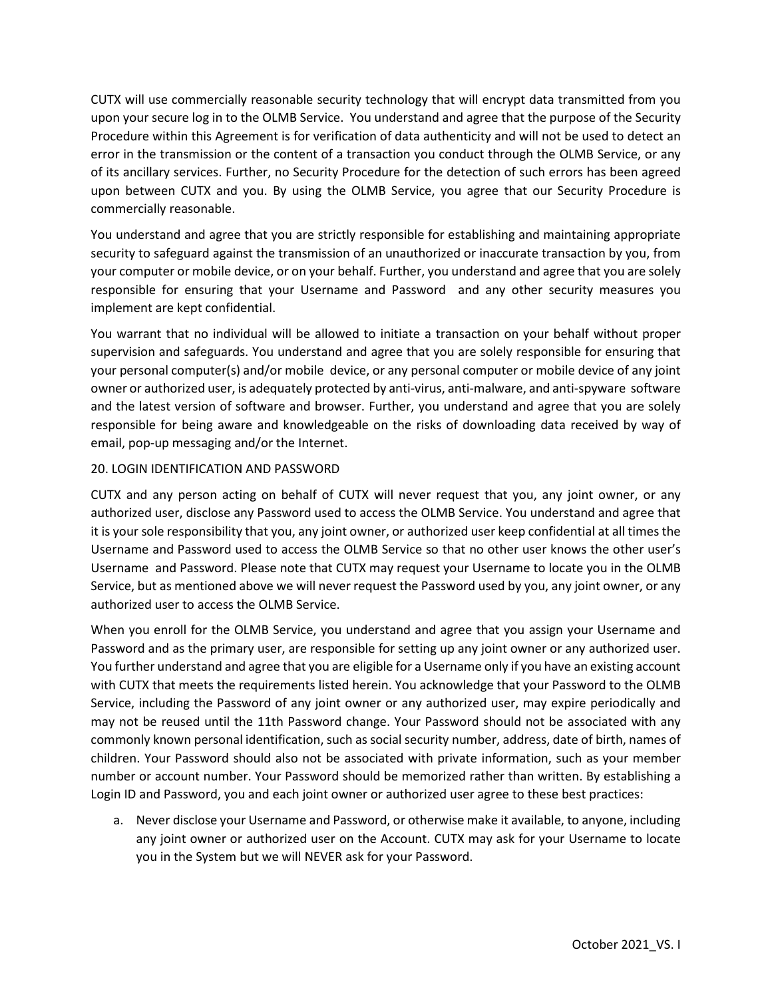CUTX will use commercially reasonable security technology that will encrypt data transmitted from you upon your secure log in to the OLMB Service. You understand and agree that the purpose of the Security Procedure within this Agreement is for verification of data authenticity and will not be used to detect an error in the transmission or the content of a transaction you conduct through the OLMB Service, or any of its ancillary services. Further, no Security Procedure for the detection of such errors has been agreed upon between CUTX and you. By using the OLMB Service, you agree that our Security Procedure is commercially reasonable.

You understand and agree that you are strictly responsible for establishing and maintaining appropriate security to safeguard against the transmission of an unauthorized or inaccurate transaction by you, from your computer or mobile device, or on your behalf. Further, you understand and agree that you are solely responsible for ensuring that your Username and Password and any other security measures you implement are kept confidential.

You warrant that no individual will be allowed to initiate a transaction on your behalf without proper supervision and safeguards. You understand and agree that you are solely responsible for ensuring that your personal computer(s) and/or mobile device, or any personal computer or mobile device of any joint owner or authorized user, is adequately protected by anti-virus, anti-malware, and anti-spyware software and the latest version of software and browser. Further, you understand and agree that you are solely responsible for being aware and knowledgeable on the risks of downloading data received by way of email, pop-up messaging and/or the Internet.

# 20. LOGIN IDENTIFICATION AND PASSWORD

CUTX and any person acting on behalf of CUTX will never request that you, any joint owner, or any authorized user, disclose any Password used to access the OLMB Service. You understand and agree that it is your sole responsibility that you, any joint owner, or authorized user keep confidential at all times the Username and Password used to access the OLMB Service so that no other user knows the other user's Username and Password. Please note that CUTX may request your Username to locate you in the OLMB Service, but as mentioned above we will never request the Password used by you, any joint owner, or any authorized user to access the OLMB Service.

When you enroll for the OLMB Service, you understand and agree that you assign your Username and Password and as the primary user, are responsible for setting up any joint owner or any authorized user. You further understand and agree that you are eligible for a Username only if you have an existing account with CUTX that meets the requirements listed herein. You acknowledge that your Password to the OLMB Service, including the Password of any joint owner or any authorized user, may expire periodically and may not be reused until the 11th Password change. Your Password should not be associated with any commonly known personal identification, such as social security number, address, date of birth, names of children. Your Password should also not be associated with private information, such as your member number or account number. Your Password should be memorized rather than written. By establishing a Login ID and Password, you and each joint owner or authorized user agree to these best practices:

a. Never disclose your Username and Password, or otherwise make it available, to anyone, including any joint owner or authorized user on the Account. CUTX may ask for your Username to locate you in the System but we will NEVER ask for your Password.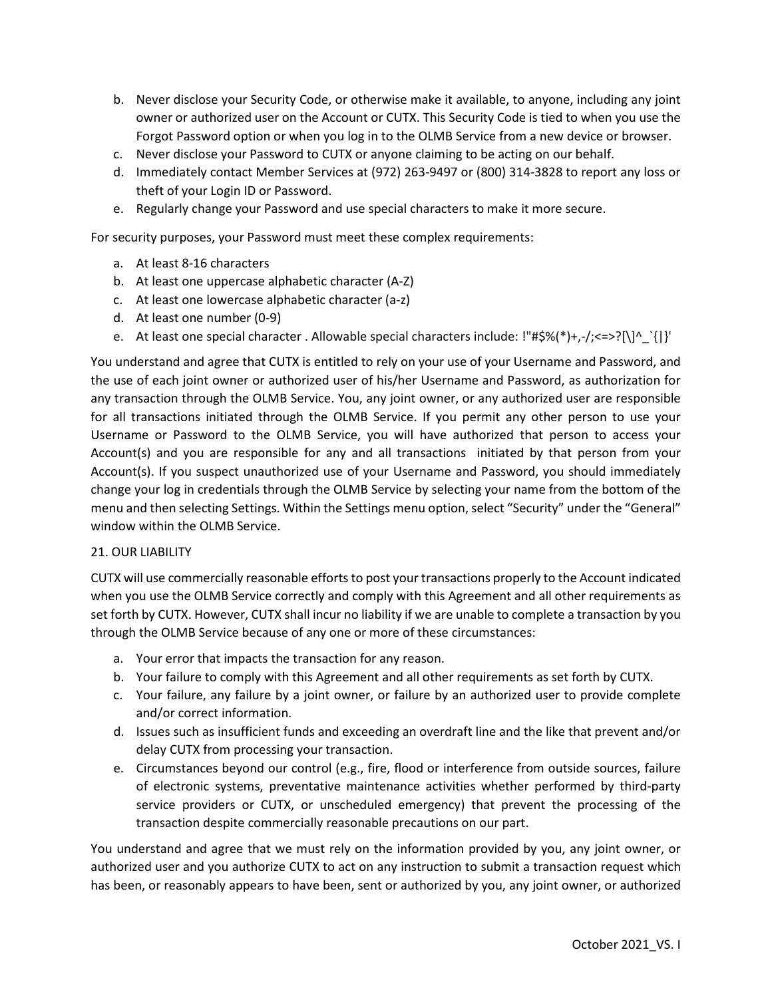- b. Never disclose your Security Code, or otherwise make it available, to anyone, including any joint owner or authorized user on the Account or CUTX. This Security Code is tied to when you use the Forgot Password option or when you log in to the OLMB Service from a new device or browser.
- c. Never disclose your Password to CUTX or anyone claiming to be acting on our behalf.
- d. Immediately contact Member Services at (972) 263-9497 or (800) 314-3828 to report any loss or theft of your Login ID or Password.
- e. Regularly change your Password and use special characters to make it more secure.

For security purposes, your Password must meet these complex requirements:

- a. At least 8-16 characters
- b. At least one uppercase alphabetic character (A-Z)
- c. At least one lowercase alphabetic character (a-z)
- d. At least one number (0-9)
- e. At least one special character . Allowable special characters include: !"#\$%(\*)+,-/;<=>?[\]^\_`{|}'

You understand and agree that CUTX is entitled to rely on your use of your Username and Password, and the use of each joint owner or authorized user of his/her Username and Password, as authorization for any transaction through the OLMB Service. You, any joint owner, or any authorized user are responsible for all transactions initiated through the OLMB Service. If you permit any other person to use your Username or Password to the OLMB Service, you will have authorized that person to access your Account(s) and you are responsible for any and all transactions initiated by that person from your Account(s). If you suspect unauthorized use of your Username and Password, you should immediately change your log in credentials through the OLMB Service by selecting your name from the bottom of the menu and then selecting Settings. Within the Settings menu option, select "Security" under the "General" window within the OLMB Service.

## 21. OUR LIABILITY

CUTX will use commercially reasonable efforts to post your transactions properly to the Account indicated when you use the OLMB Service correctly and comply with this Agreement and all other requirements as set forth by CUTX. However, CUTX shall incur no liability if we are unable to complete a transaction by you through the OLMB Service because of any one or more of these circumstances:

- a. Your error that impacts the transaction for any reason.
- b. Your failure to comply with this Agreement and all other requirements as set forth by CUTX.
- c. Your failure, any failure by a joint owner, or failure by an authorized user to provide complete and/or correct information.
- d. Issues such as insufficient funds and exceeding an overdraft line and the like that prevent and/or delay CUTX from processing your transaction.
- e. Circumstances beyond our control (e.g., fire, flood or interference from outside sources, failure of electronic systems, preventative maintenance activities whether performed by third-party service providers or CUTX, or unscheduled emergency) that prevent the processing of the transaction despite commercially reasonable precautions on our part.

You understand and agree that we must rely on the information provided by you, any joint owner, or authorized user and you authorize CUTX to act on any instruction to submit a transaction request which has been, or reasonably appears to have been, sent or authorized by you, any joint owner, or authorized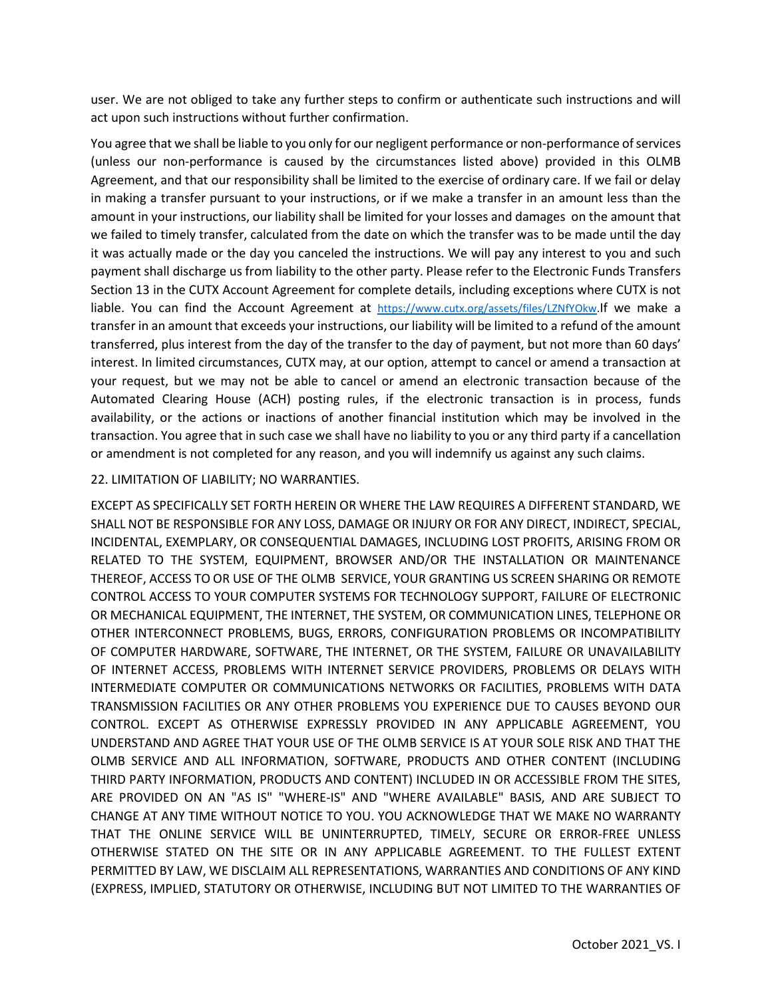user. We are not obliged to take any further steps to confirm or authenticate such instructions and will act upon such instructions without further confirmation.

You agree that we shall be liable to you only for our negligent performance or non-performance of services (unless our non-performance is caused by the circumstances listed above) provided in this OLMB Agreement, and that our responsibility shall be limited to the exercise of ordinary care. If we fail or delay in making a transfer pursuant to your instructions, or if we make a transfer in an amount less than the amount in your instructions, our liability shall be limited for your losses and damages on the amount that we failed to timely transfer, calculated from the date on which the transfer was to be made until the day it was actually made or the day you canceled the instructions. We will pay any interest to you and such payment shall discharge us from liability to the other party. Please refer to the Electronic Funds Transfers Section 13 in the CUTX Account Agreement for complete details, including exceptions where CUTX is not liable. You can find the Account Agreement at [https://www.cutx.org/assets/files/LZNfYOkw.I](https://www.cutx.org/assets/files/LZNfYOkw)f we make a transfer in an amount that exceeds your instructions, our liability will be limited to a refund of the amount transferred, plus interest from the day of the transfer to the day of payment, but not more than 60 days' interest. In limited circumstances, CUTX may, at our option, attempt to cancel or amend a transaction at your request, but we may not be able to cancel or amend an electronic transaction because of the Automated Clearing House (ACH) posting rules, if the electronic transaction is in process, funds availability, or the actions or inactions of another financial institution which may be involved in the transaction. You agree that in such case we shall have no liability to you or any third party if a cancellation or amendment is not completed for any reason, and you will indemnify us against any such claims.

### 22. LIMITATION OF LIABILITY; NO WARRANTIES.

EXCEPT AS SPECIFICALLY SET FORTH HEREIN OR WHERE THE LAW REQUIRES A DIFFERENT STANDARD, WE SHALL NOT BE RESPONSIBLE FOR ANY LOSS, DAMAGE OR INJURY OR FOR ANY DIRECT, INDIRECT, SPECIAL, INCIDENTAL, EXEMPLARY, OR CONSEQUENTIAL DAMAGES, INCLUDING LOST PROFITS, ARISING FROM OR RELATED TO THE SYSTEM, EQUIPMENT, BROWSER AND/OR THE INSTALLATION OR MAINTENANCE THEREOF, ACCESS TO OR USE OF THE OLMB SERVICE, YOUR GRANTING US SCREEN SHARING OR REMOTE CONTROL ACCESS TO YOUR COMPUTER SYSTEMS FOR TECHNOLOGY SUPPORT, FAILURE OF ELECTRONIC OR MECHANICAL EQUIPMENT, THE INTERNET, THE SYSTEM, OR COMMUNICATION LINES, TELEPHONE OR OTHER INTERCONNECT PROBLEMS, BUGS, ERRORS, CONFIGURATION PROBLEMS OR INCOMPATIBILITY OF COMPUTER HARDWARE, SOFTWARE, THE INTERNET, OR THE SYSTEM, FAILURE OR UNAVAILABILITY OF INTERNET ACCESS, PROBLEMS WITH INTERNET SERVICE PROVIDERS, PROBLEMS OR DELAYS WITH INTERMEDIATE COMPUTER OR COMMUNICATIONS NETWORKS OR FACILITIES, PROBLEMS WITH DATA TRANSMISSION FACILITIES OR ANY OTHER PROBLEMS YOU EXPERIENCE DUE TO CAUSES BEYOND OUR CONTROL. EXCEPT AS OTHERWISE EXPRESSLY PROVIDED IN ANY APPLICABLE AGREEMENT, YOU UNDERSTAND AND AGREE THAT YOUR USE OF THE OLMB SERVICE IS AT YOUR SOLE RISK AND THAT THE OLMB SERVICE AND ALL INFORMATION, SOFTWARE, PRODUCTS AND OTHER CONTENT (INCLUDING THIRD PARTY INFORMATION, PRODUCTS AND CONTENT) INCLUDED IN OR ACCESSIBLE FROM THE SITES, ARE PROVIDED ON AN "AS IS" "WHERE-IS" AND "WHERE AVAILABLE" BASIS, AND ARE SUBJECT TO CHANGE AT ANY TIME WITHOUT NOTICE TO YOU. YOU ACKNOWLEDGE THAT WE MAKE NO WARRANTY THAT THE ONLINE SERVICE WILL BE UNINTERRUPTED, TIMELY, SECURE OR ERROR-FREE UNLESS OTHERWISE STATED ON THE SITE OR IN ANY APPLICABLE AGREEMENT. TO THE FULLEST EXTENT PERMITTED BY LAW, WE DISCLAIM ALL REPRESENTATIONS, WARRANTIES AND CONDITIONS OF ANY KIND (EXPRESS, IMPLIED, STATUTORY OR OTHERWISE, INCLUDING BUT NOT LIMITED TO THE WARRANTIES OF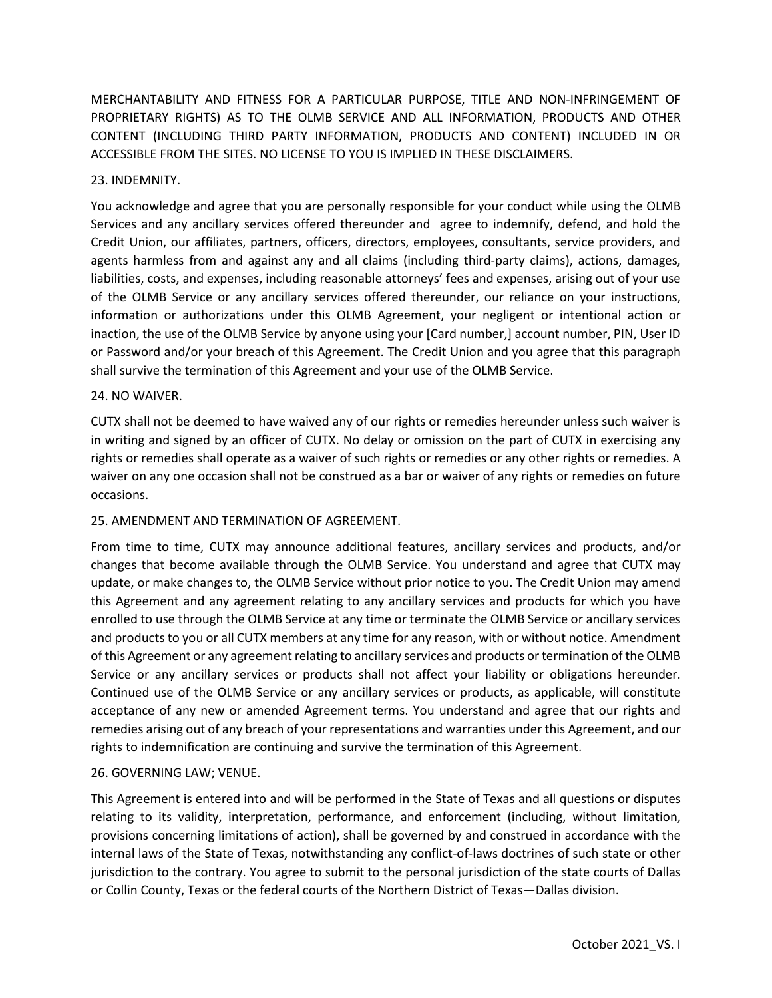MERCHANTABILITY AND FITNESS FOR A PARTICULAR PURPOSE, TITLE AND NON-INFRINGEMENT OF PROPRIETARY RIGHTS) AS TO THE OLMB SERVICE AND ALL INFORMATION, PRODUCTS AND OTHER CONTENT (INCLUDING THIRD PARTY INFORMATION, PRODUCTS AND CONTENT) INCLUDED IN OR ACCESSIBLE FROM THE SITES. NO LICENSE TO YOU IS IMPLIED IN THESE DISCLAIMERS.

## 23. INDEMNITY.

You acknowledge and agree that you are personally responsible for your conduct while using the OLMB Services and any ancillary services offered thereunder and agree to indemnify, defend, and hold the Credit Union, our affiliates, partners, officers, directors, employees, consultants, service providers, and agents harmless from and against any and all claims (including third-party claims), actions, damages, liabilities, costs, and expenses, including reasonable attorneys' fees and expenses, arising out of your use of the OLMB Service or any ancillary services offered thereunder, our reliance on your instructions, information or authorizations under this OLMB Agreement, your negligent or intentional action or inaction, the use of the OLMB Service by anyone using your [Card number,] account number, PIN, User ID or Password and/or your breach of this Agreement. The Credit Union and you agree that this paragraph shall survive the termination of this Agreement and your use of the OLMB Service.

### 24. NO WAIVER.

CUTX shall not be deemed to have waived any of our rights or remedies hereunder unless such waiver is in writing and signed by an officer of CUTX. No delay or omission on the part of CUTX in exercising any rights or remedies shall operate as a waiver of such rights or remedies or any other rights or remedies. A waiver on any one occasion shall not be construed as a bar or waiver of any rights or remedies on future occasions.

## 25. AMENDMENT AND TERMINATION OF AGREEMENT.

From time to time, CUTX may announce additional features, ancillary services and products, and/or changes that become available through the OLMB Service. You understand and agree that CUTX may update, or make changes to, the OLMB Service without prior notice to you. The Credit Union may amend this Agreement and any agreement relating to any ancillary services and products for which you have enrolled to use through the OLMB Service at any time or terminate the OLMB Service or ancillary services and products to you or all CUTX members at any time for any reason, with or without notice. Amendment of this Agreement or any agreement relating to ancillary services and products or termination of the OLMB Service or any ancillary services or products shall not affect your liability or obligations hereunder. Continued use of the OLMB Service or any ancillary services or products, as applicable, will constitute acceptance of any new or amended Agreement terms. You understand and agree that our rights and remedies arising out of any breach of your representations and warranties under this Agreement, and our rights to indemnification are continuing and survive the termination of this Agreement.

## 26. GOVERNING LAW; VENUE.

This Agreement is entered into and will be performed in the State of Texas and all questions or disputes relating to its validity, interpretation, performance, and enforcement (including, without limitation, provisions concerning limitations of action), shall be governed by and construed in accordance with the internal laws of the State of Texas, notwithstanding any conflict-of-laws doctrines of such state or other jurisdiction to the contrary. You agree to submit to the personal jurisdiction of the state courts of Dallas or Collin County, Texas or the federal courts of the Northern District of Texas—Dallas division.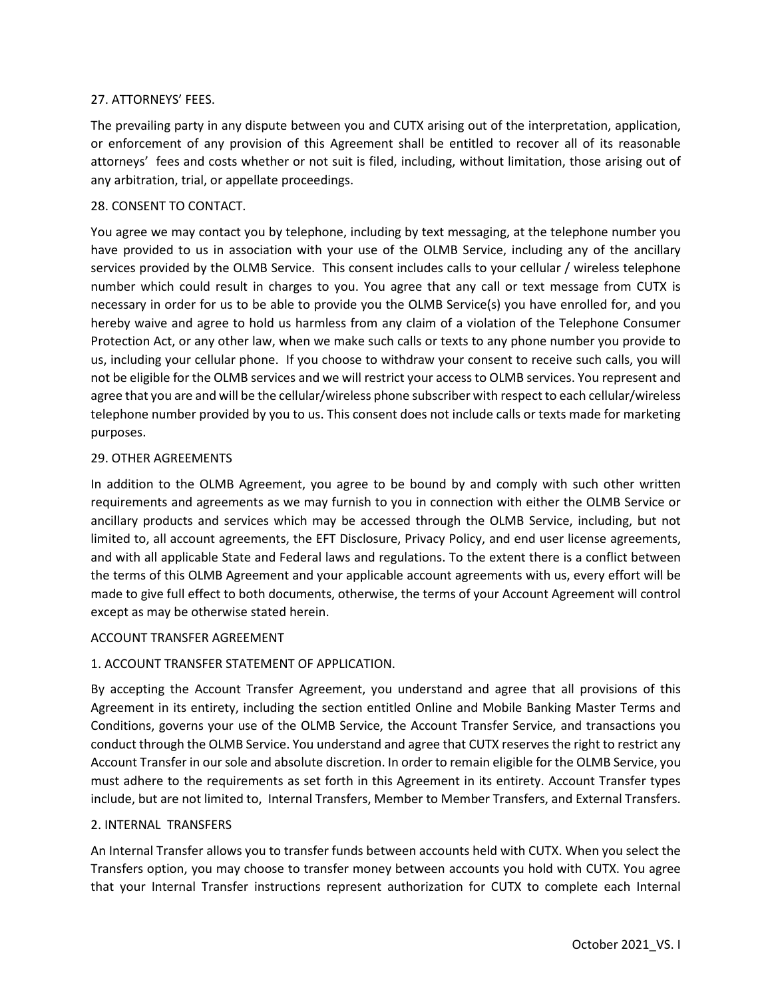## 27. ATTORNEYS' FEES.

The prevailing party in any dispute between you and CUTX arising out of the interpretation, application, or enforcement of any provision of this Agreement shall be entitled to recover all of its reasonable attorneys' fees and costs whether or not suit is filed, including, without limitation, those arising out of any arbitration, trial, or appellate proceedings.

### 28. CONSENT TO CONTACT.

You agree we may contact you by telephone, including by text messaging, at the telephone number you have provided to us in association with your use of the OLMB Service, including any of the ancillary services provided by the OLMB Service. This consent includes calls to your cellular / wireless telephone number which could result in charges to you. You agree that any call or text message from CUTX is necessary in order for us to be able to provide you the OLMB Service(s) you have enrolled for, and you hereby waive and agree to hold us harmless from any claim of a violation of the Telephone Consumer Protection Act, or any other law, when we make such calls or texts to any phone number you provide to us, including your cellular phone. If you choose to withdraw your consent to receive such calls, you will not be eligible for the OLMB services and we will restrict your access to OLMB services. You represent and agree that you are and will be the cellular/wireless phone subscriber with respect to each cellular/wireless telephone number provided by you to us. This consent does not include calls or texts made for marketing purposes.

### 29. OTHER AGREEMENTS

In addition to the OLMB Agreement, you agree to be bound by and comply with such other written requirements and agreements as we may furnish to you in connection with either the OLMB Service or ancillary products and services which may be accessed through the OLMB Service, including, but not limited to, all account agreements, the EFT Disclosure, Privacy Policy, and end user license agreements, and with all applicable State and Federal laws and regulations. To the extent there is a conflict between the terms of this OLMB Agreement and your applicable account agreements with us, every effort will be made to give full effect to both documents, otherwise, the terms of your Account Agreement will control except as may be otherwise stated herein.

#### ACCOUNT TRANSFER AGREEMENT

## 1. ACCOUNT TRANSFER STATEMENT OF APPLICATION.

By accepting the Account Transfer Agreement, you understand and agree that all provisions of this Agreement in its entirety, including the section entitled Online and Mobile Banking Master Terms and Conditions, governs your use of the OLMB Service, the Account Transfer Service, and transactions you conduct through the OLMB Service. You understand and agree that CUTX reserves the right to restrict any Account Transfer in our sole and absolute discretion. In order to remain eligible for the OLMB Service, you must adhere to the requirements as set forth in this Agreement in its entirety. Account Transfer types include, but are not limited to, Internal Transfers, Member to Member Transfers, and External Transfers.

#### 2. INTERNAL TRANSFERS

An Internal Transfer allows you to transfer funds between accounts held with CUTX. When you select the Transfers option, you may choose to transfer money between accounts you hold with CUTX. You agree that your Internal Transfer instructions represent authorization for CUTX to complete each Internal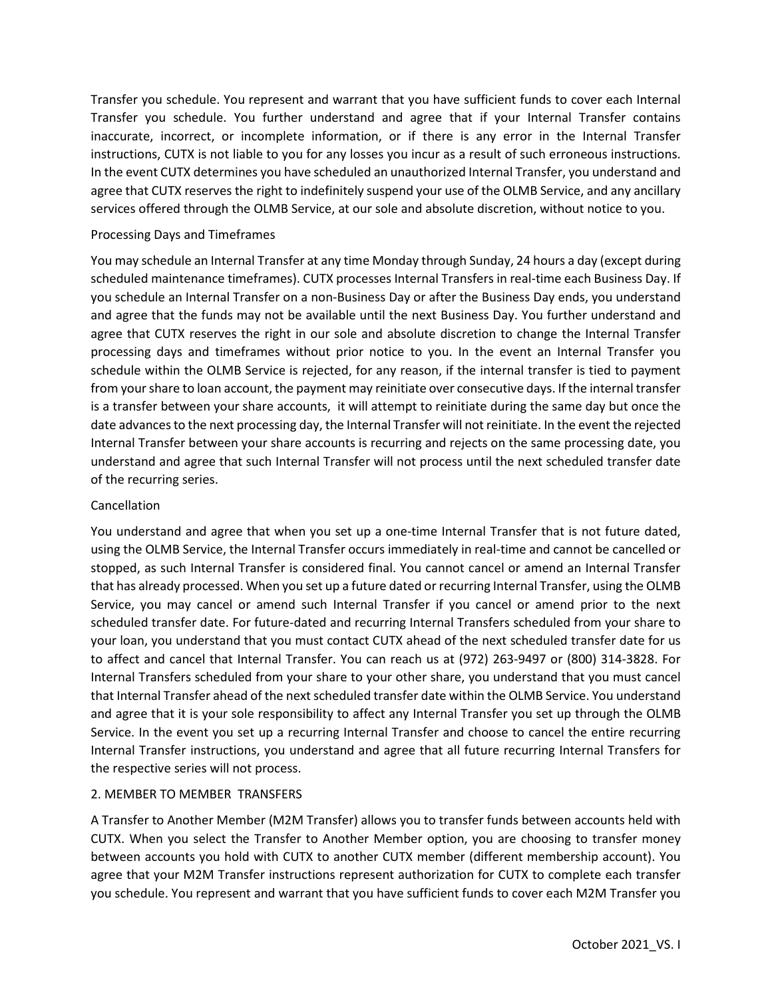Transfer you schedule. You represent and warrant that you have sufficient funds to cover each Internal Transfer you schedule. You further understand and agree that if your Internal Transfer contains inaccurate, incorrect, or incomplete information, or if there is any error in the Internal Transfer instructions, CUTX is not liable to you for any losses you incur as a result of such erroneous instructions. In the event CUTX determines you have scheduled an unauthorized Internal Transfer, you understand and agree that CUTX reserves the right to indefinitely suspend your use of the OLMB Service, and any ancillary services offered through the OLMB Service, at our sole and absolute discretion, without notice to you.

# Processing Days and Timeframes

You may schedule an Internal Transfer at any time Monday through Sunday, 24 hours a day (except during scheduled maintenance timeframes). CUTX processes Internal Transfers in real-time each Business Day. If you schedule an Internal Transfer on a non-Business Day or after the Business Day ends, you understand and agree that the funds may not be available until the next Business Day. You further understand and agree that CUTX reserves the right in our sole and absolute discretion to change the Internal Transfer processing days and timeframes without prior notice to you. In the event an Internal Transfer you schedule within the OLMB Service is rejected, for any reason, if the internal transfer is tied to payment from your share to loan account, the payment may reinitiate over consecutive days. If the internal transfer is a transfer between your share accounts, it will attempt to reinitiate during the same day but once the date advances to the next processing day, the Internal Transfer will not reinitiate. In the event the rejected Internal Transfer between your share accounts is recurring and rejects on the same processing date, you understand and agree that such Internal Transfer will not process until the next scheduled transfer date of the recurring series.

# Cancellation

You understand and agree that when you set up a one-time Internal Transfer that is not future dated, using the OLMB Service, the Internal Transfer occurs immediately in real-time and cannot be cancelled or stopped, as such Internal Transfer is considered final. You cannot cancel or amend an Internal Transfer that has already processed. When you set up a future dated or recurring Internal Transfer, using the OLMB Service, you may cancel or amend such Internal Transfer if you cancel or amend prior to the next scheduled transfer date. For future-dated and recurring Internal Transfers scheduled from your share to your loan, you understand that you must contact CUTX ahead of the next scheduled transfer date for us to affect and cancel that Internal Transfer. You can reach us at (972) 263-9497 or (800) 314-3828. For Internal Transfers scheduled from your share to your other share, you understand that you must cancel that Internal Transfer ahead of the next scheduled transfer date within the OLMB Service. You understand and agree that it is your sole responsibility to affect any Internal Transfer you set up through the OLMB Service. In the event you set up a recurring Internal Transfer and choose to cancel the entire recurring Internal Transfer instructions, you understand and agree that all future recurring Internal Transfers for the respective series will not process.

## 2. MEMBER TO MEMBER TRANSFERS

A Transfer to Another Member (M2M Transfer) allows you to transfer funds between accounts held with CUTX. When you select the Transfer to Another Member option, you are choosing to transfer money between accounts you hold with CUTX to another CUTX member (different membership account). You agree that your M2M Transfer instructions represent authorization for CUTX to complete each transfer you schedule. You represent and warrant that you have sufficient funds to cover each M2M Transfer you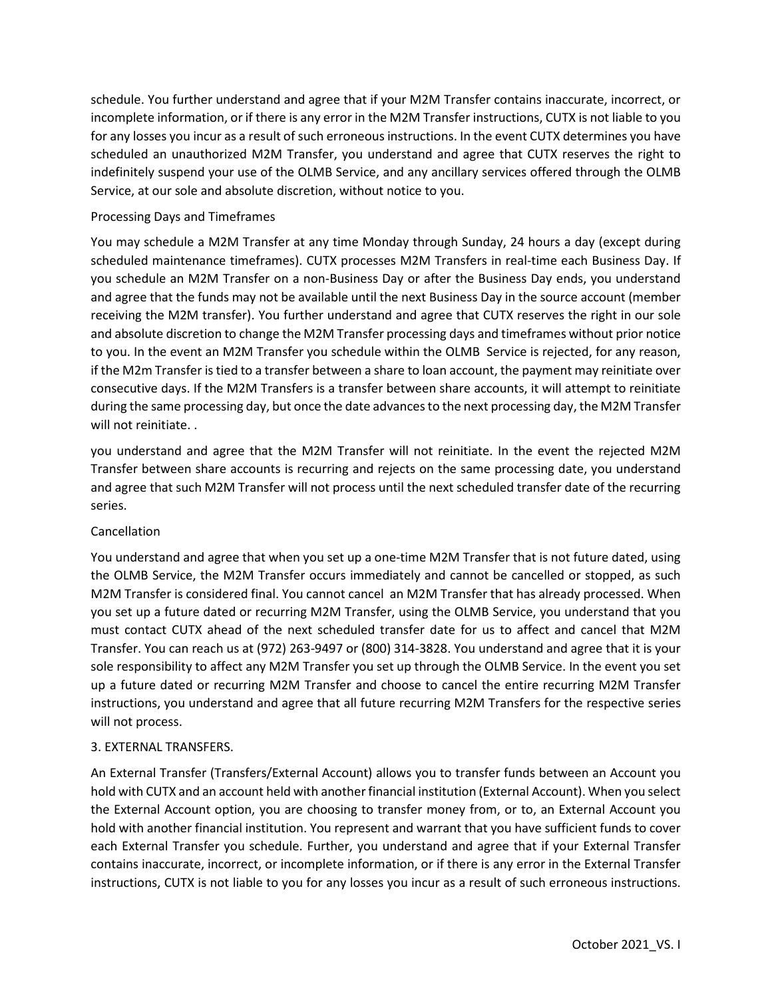schedule. You further understand and agree that if your M2M Transfer contains inaccurate, incorrect, or incomplete information, or if there is any error in the M2M Transfer instructions, CUTX is not liable to you for any losses you incur as a result of such erroneous instructions. In the event CUTX determines you have scheduled an unauthorized M2M Transfer, you understand and agree that CUTX reserves the right to indefinitely suspend your use of the OLMB Service, and any ancillary services offered through the OLMB Service, at our sole and absolute discretion, without notice to you.

# Processing Days and Timeframes

You may schedule a M2M Transfer at any time Monday through Sunday, 24 hours a day (except during scheduled maintenance timeframes). CUTX processes M2M Transfers in real-time each Business Day. If you schedule an M2M Transfer on a non-Business Day or after the Business Day ends, you understand and agree that the funds may not be available until the next Business Day in the source account (member receiving the M2M transfer). You further understand and agree that CUTX reserves the right in our sole and absolute discretion to change the M2M Transfer processing days and timeframes without prior notice to you. In the event an M2M Transfer you schedule within the OLMB Service is rejected, for any reason, if the M2m Transfer is tied to a transfer between a share to loan account, the payment may reinitiate over consecutive days. If the M2M Transfers is a transfer between share accounts, it will attempt to reinitiate during the same processing day, but once the date advances to the next processing day, the M2M Transfer will not reinitiate. .

you understand and agree that the M2M Transfer will not reinitiate. In the event the rejected M2M Transfer between share accounts is recurring and rejects on the same processing date, you understand and agree that such M2M Transfer will not process until the next scheduled transfer date of the recurring series.

## Cancellation

You understand and agree that when you set up a one-time M2M Transfer that is not future dated, using the OLMB Service, the M2M Transfer occurs immediately and cannot be cancelled or stopped, as such M2M Transfer is considered final. You cannot cancel an M2M Transfer that has already processed. When you set up a future dated or recurring M2M Transfer, using the OLMB Service, you understand that you must contact CUTX ahead of the next scheduled transfer date for us to affect and cancel that M2M Transfer. You can reach us at (972) 263-9497 or (800) 314-3828. You understand and agree that it is your sole responsibility to affect any M2M Transfer you set up through the OLMB Service. In the event you set up a future dated or recurring M2M Transfer and choose to cancel the entire recurring M2M Transfer instructions, you understand and agree that all future recurring M2M Transfers for the respective series will not process.

## 3. EXTERNAL TRANSFERS.

An External Transfer (Transfers/External Account) allows you to transfer funds between an Account you hold with CUTX and an account held with another financial institution (External Account). When you select the External Account option, you are choosing to transfer money from, or to, an External Account you hold with another financial institution. You represent and warrant that you have sufficient funds to cover each External Transfer you schedule. Further, you understand and agree that if your External Transfer contains inaccurate, incorrect, or incomplete information, or if there is any error in the External Transfer instructions, CUTX is not liable to you for any losses you incur as a result of such erroneous instructions.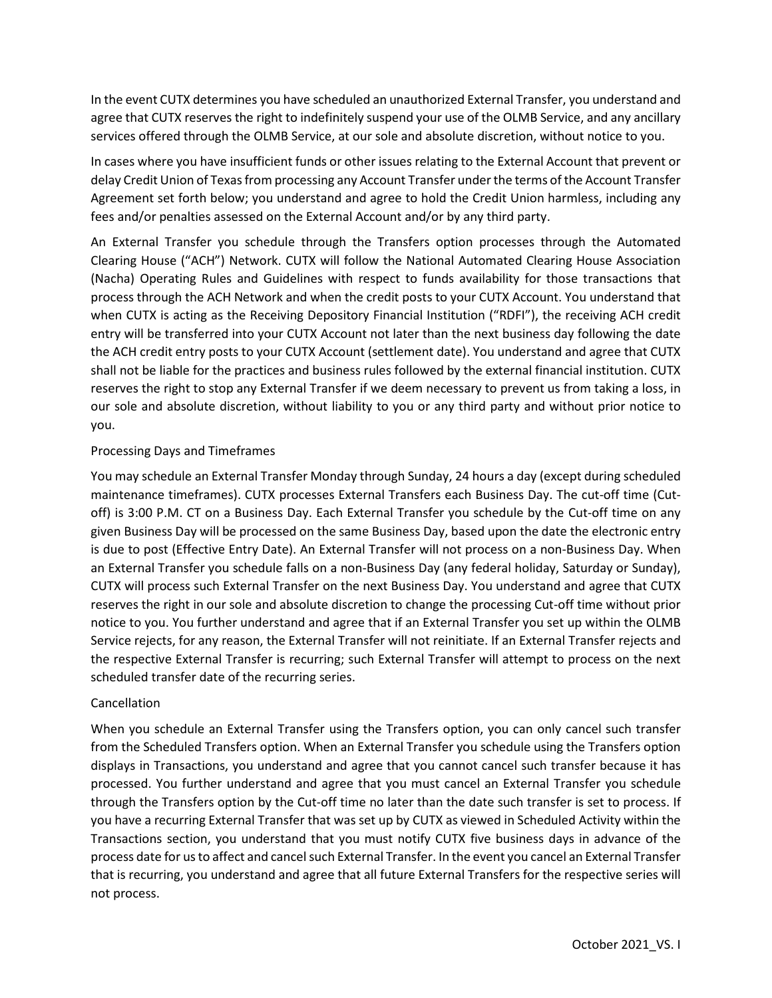In the event CUTX determines you have scheduled an unauthorized External Transfer, you understand and agree that CUTX reserves the right to indefinitely suspend your use of the OLMB Service, and any ancillary services offered through the OLMB Service, at our sole and absolute discretion, without notice to you.

In cases where you have insufficient funds or other issues relating to the External Account that prevent or delay Credit Union of Texas from processing any Account Transfer under the terms of the Account Transfer Agreement set forth below; you understand and agree to hold the Credit Union harmless, including any fees and/or penalties assessed on the External Account and/or by any third party.

An External Transfer you schedule through the Transfers option processes through the Automated Clearing House ("ACH") Network. CUTX will follow the National Automated Clearing House Association (Nacha) Operating Rules and Guidelines with respect to funds availability for those transactions that process through the ACH Network and when the credit posts to your CUTX Account. You understand that when CUTX is acting as the Receiving Depository Financial Institution ("RDFI"), the receiving ACH credit entry will be transferred into your CUTX Account not later than the next business day following the date the ACH credit entry posts to your CUTX Account (settlement date). You understand and agree that CUTX shall not be liable for the practices and business rules followed by the external financial institution. CUTX reserves the right to stop any External Transfer if we deem necessary to prevent us from taking a loss, in our sole and absolute discretion, without liability to you or any third party and without prior notice to you.

# Processing Days and Timeframes

You may schedule an External Transfer Monday through Sunday, 24 hours a day (except during scheduled maintenance timeframes). CUTX processes External Transfers each Business Day. The cut-off time (Cutoff) is 3:00 P.M. CT on a Business Day. Each External Transfer you schedule by the Cut-off time on any given Business Day will be processed on the same Business Day, based upon the date the electronic entry is due to post (Effective Entry Date). An External Transfer will not process on a non-Business Day. When an External Transfer you schedule falls on a non-Business Day (any federal holiday, Saturday or Sunday), CUTX will process such External Transfer on the next Business Day. You understand and agree that CUTX reserves the right in our sole and absolute discretion to change the processing Cut-off time without prior notice to you. You further understand and agree that if an External Transfer you set up within the OLMB Service rejects, for any reason, the External Transfer will not reinitiate. If an External Transfer rejects and the respective External Transfer is recurring; such External Transfer will attempt to process on the next scheduled transfer date of the recurring series.

## Cancellation

When you schedule an External Transfer using the Transfers option, you can only cancel such transfer from the Scheduled Transfers option. When an External Transfer you schedule using the Transfers option displays in Transactions, you understand and agree that you cannot cancel such transfer because it has processed. You further understand and agree that you must cancel an External Transfer you schedule through the Transfers option by the Cut-off time no later than the date such transfer is set to process. If you have a recurring External Transfer that was set up by CUTX as viewed in Scheduled Activity within the Transactions section, you understand that you must notify CUTX five business days in advance of the process date for us to affect and cancel such External Transfer. In the event you cancel an External Transfer that is recurring, you understand and agree that all future External Transfers for the respective series will not process.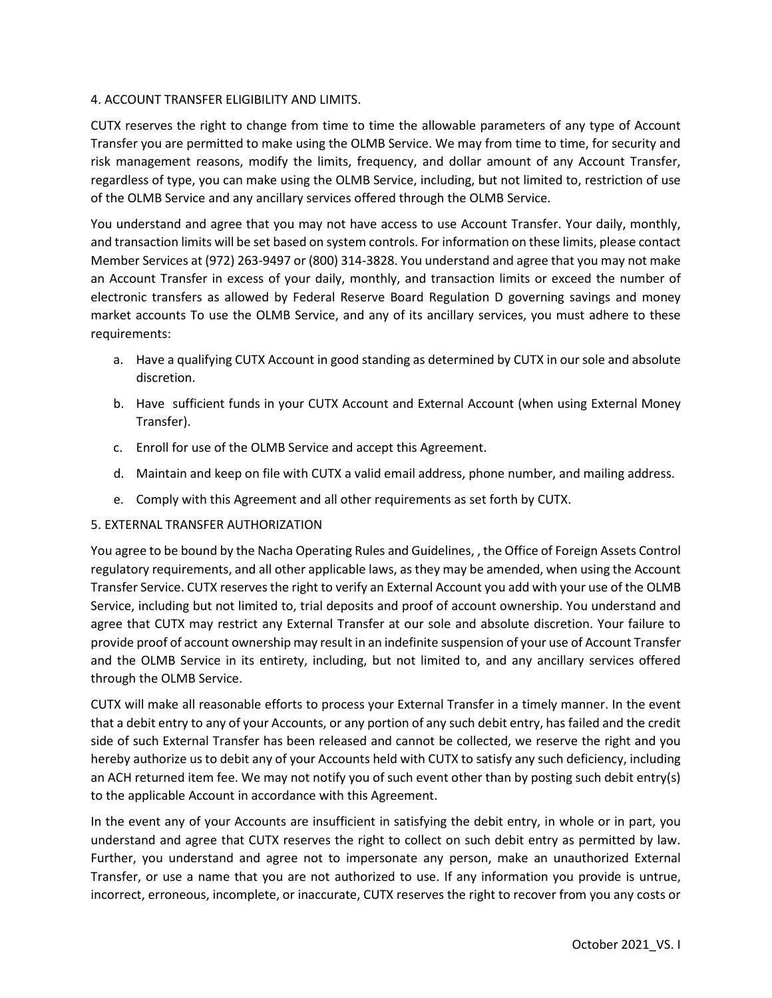## 4. ACCOUNT TRANSFER ELIGIBILITY AND LIMITS.

CUTX reserves the right to change from time to time the allowable parameters of any type of Account Transfer you are permitted to make using the OLMB Service. We may from time to time, for security and risk management reasons, modify the limits, frequency, and dollar amount of any Account Transfer, regardless of type, you can make using the OLMB Service, including, but not limited to, restriction of use of the OLMB Service and any ancillary services offered through the OLMB Service.

You understand and agree that you may not have access to use Account Transfer. Your daily, monthly, and transaction limits will be set based on system controls. For information on these limits, please contact Member Services at (972) 263-9497 or (800) 314-3828. You understand and agree that you may not make an Account Transfer in excess of your daily, monthly, and transaction limits or exceed the number of electronic transfers as allowed by Federal Reserve Board Regulation D governing savings and money market accounts To use the OLMB Service, and any of its ancillary services, you must adhere to these requirements:

- a. Have a qualifying CUTX Account in good standing as determined by CUTX in our sole and absolute discretion.
- b. Have sufficient funds in your CUTX Account and External Account (when using External Money Transfer).
- c. Enroll for use of the OLMB Service and accept this Agreement.
- d. Maintain and keep on file with CUTX a valid email address, phone number, and mailing address.
- e. Comply with this Agreement and all other requirements as set forth by CUTX.

## 5. EXTERNAL TRANSFER AUTHORIZATION

You agree to be bound by the Nacha Operating Rules and Guidelines, , the Office of Foreign Assets Control regulatory requirements, and all other applicable laws, as they may be amended, when using the Account Transfer Service. CUTX reserves the right to verify an External Account you add with your use of the OLMB Service, including but not limited to, trial deposits and proof of account ownership. You understand and agree that CUTX may restrict any External Transfer at our sole and absolute discretion. Your failure to provide proof of account ownership may result in an indefinite suspension of your use of Account Transfer and the OLMB Service in its entirety, including, but not limited to, and any ancillary services offered through the OLMB Service.

CUTX will make all reasonable efforts to process your External Transfer in a timely manner. In the event that a debit entry to any of your Accounts, or any portion of any such debit entry, has failed and the credit side of such External Transfer has been released and cannot be collected, we reserve the right and you hereby authorize us to debit any of your Accounts held with CUTX to satisfy any such deficiency, including an ACH returned item fee. We may not notify you of such event other than by posting such debit entry(s) to the applicable Account in accordance with this Agreement.

In the event any of your Accounts are insufficient in satisfying the debit entry, in whole or in part, you understand and agree that CUTX reserves the right to collect on such debit entry as permitted by law. Further, you understand and agree not to impersonate any person, make an unauthorized External Transfer, or use a name that you are not authorized to use. If any information you provide is untrue, incorrect, erroneous, incomplete, or inaccurate, CUTX reserves the right to recover from you any costs or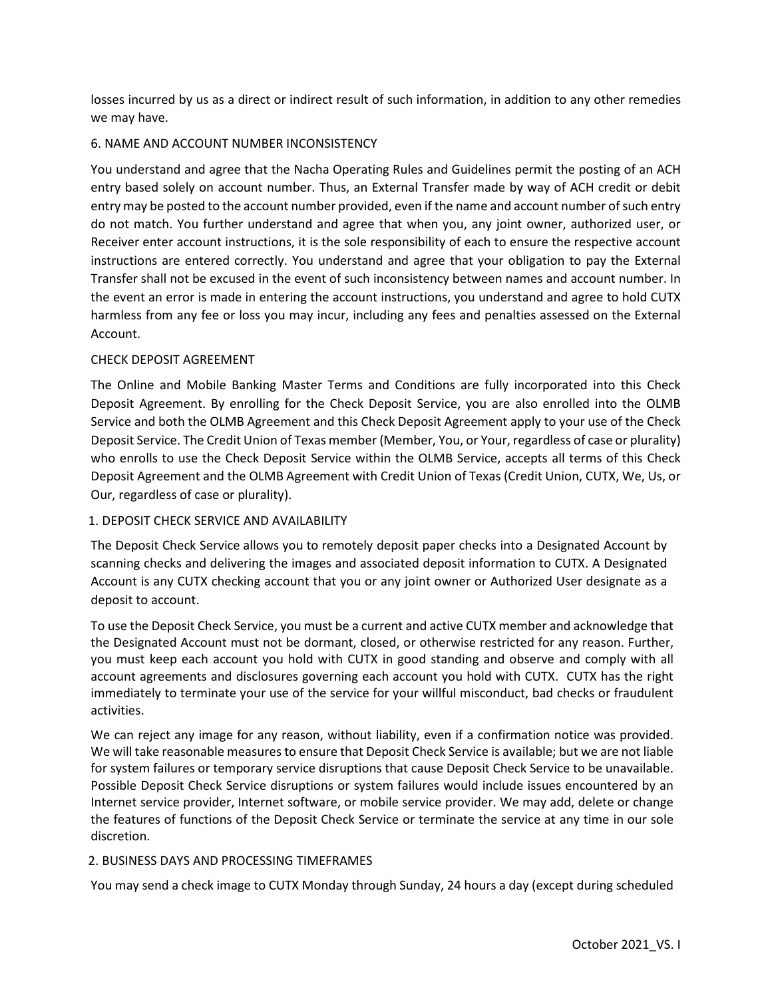losses incurred by us as a direct or indirect result of such information, in addition to any other remedies we may have.

## 6. NAME AND ACCOUNT NUMBER INCONSISTENCY

You understand and agree that the Nacha Operating Rules and Guidelines permit the posting of an ACH entry based solely on account number. Thus, an External Transfer made by way of ACH credit or debit entry may be posted to the account number provided, even if the name and account number of such entry do not match. You further understand and agree that when you, any joint owner, authorized user, or Receiver enter account instructions, it is the sole responsibility of each to ensure the respective account instructions are entered correctly. You understand and agree that your obligation to pay the External Transfer shall not be excused in the event of such inconsistency between names and account number. In the event an error is made in entering the account instructions, you understand and agree to hold CUTX harmless from any fee or loss you may incur, including any fees and penalties assessed on the External Account.

# CHECK DEPOSIT AGREEMENT

The Online and Mobile Banking Master Terms and Conditions are fully incorporated into this Check Deposit Agreement. By enrolling for the Check Deposit Service, you are also enrolled into the OLMB Service and both the OLMB Agreement and this Check Deposit Agreement apply to your use of the Check Deposit Service. The Credit Union of Texas member (Member, You, or Your, regardless of case or plurality) who enrolls to use the Check Deposit Service within the OLMB Service, accepts all terms of this Check Deposit Agreement and the OLMB Agreement with Credit Union of Texas (Credit Union, CUTX, We, Us, or Our, regardless of case or plurality).

# 1. DEPOSIT CHECK SERVICE AND AVAILABILITY

The Deposit Check Service allows you to remotely deposit paper checks into a Designated Account by scanning checks and delivering the images and associated deposit information to CUTX. A Designated Account is any CUTX checking account that you or any joint owner or Authorized User designate as a deposit to account.

To use the Deposit Check Service, you must be a current and active CUTX member and acknowledge that the Designated Account must not be dormant, closed, or otherwise restricted for any reason. Further, you must keep each account you hold with CUTX in good standing and observe and comply with all account agreements and disclosures governing each account you hold with CUTX. CUTX has the right immediately to terminate your use of the service for your willful misconduct, bad checks or fraudulent activities.

We can reject any image for any reason, without liability, even if a confirmation notice was provided. We will take reasonable measures to ensure that Deposit Check Service is available; but we are not liable for system failures or temporary service disruptions that cause Deposit Check Service to be unavailable. Possible Deposit Check Service disruptions or system failures would include issues encountered by an Internet service provider, Internet software, or mobile service provider. We may add, delete or change the features of functions of the Deposit Check Service or terminate the service at any time in our sole discretion.

## 2. BUSINESS DAYS AND PROCESSING TIMEFRAMES

You may send a check image to CUTX Monday through Sunday, 24 hours a day (except during scheduled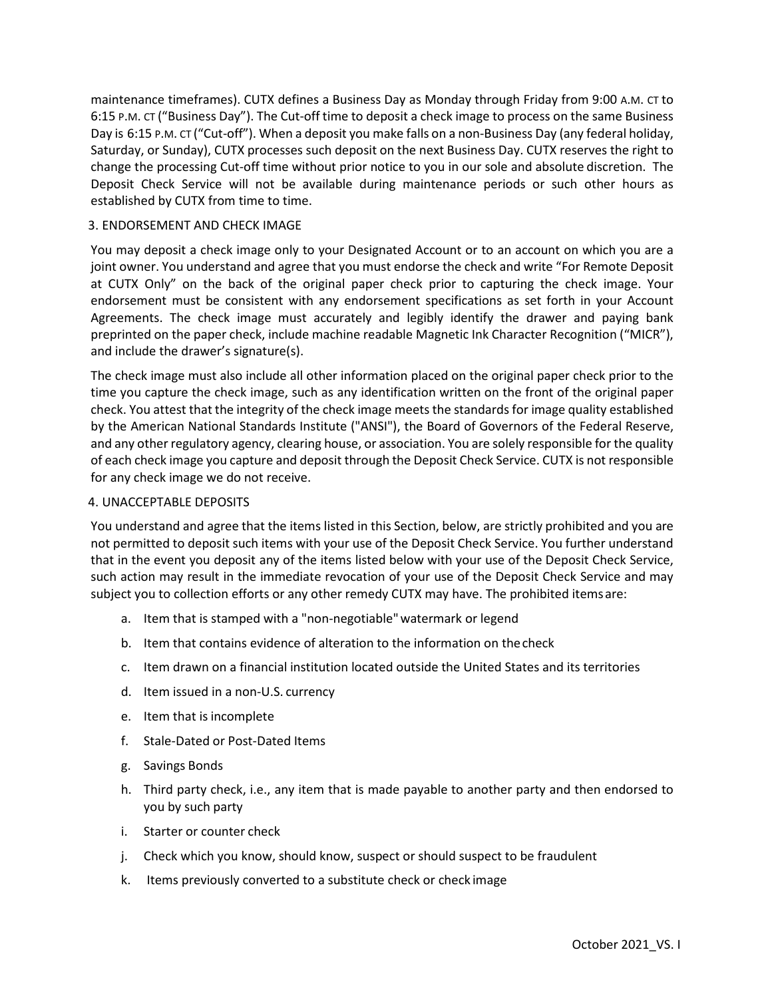maintenance timeframes). CUTX defines a Business Day as Monday through Friday from 9:00 A.M. CT to 6:15 P.M. CT ("Business Day"). The Cut-off time to deposit a check image to process on the same Business Day is 6:15 P.M. CT ("Cut-off"). When a deposit you make falls on a non-Business Day (any federal holiday, Saturday, or Sunday), CUTX processes such deposit on the next Business Day. CUTX reserves the right to change the processing Cut-off time without prior notice to you in our sole and absolute discretion. The Deposit Check Service will not be available during maintenance periods or such other hours as established by CUTX from time to time.

#### 3. ENDORSEMENT AND CHECK IMAGE

You may deposit a check image only to your Designated Account or to an account on which you are a joint owner. You understand and agree that you must endorse the check and write "For Remote Deposit at CUTX Only" on the back of the original paper check prior to capturing the check image. Your endorsement must be consistent with any endorsement specifications as set forth in your Account Agreements. The check image must accurately and legibly identify the drawer and paying bank preprinted on the paper check, include machine readable Magnetic Ink Character Recognition ("MICR"), and include the drawer's signature(s).

The check image must also include all other information placed on the original paper check prior to the time you capture the check image, such as any identification written on the front of the original paper check. You attest that the integrity of the check image meets the standards for image quality established by the American National Standards Institute ("ANSI"), the Board of Governors of the Federal Reserve, and any other regulatory agency, clearing house, or association. You are solely responsible for the quality of each check image you capture and deposit through the Deposit Check Service. CUTX is not responsible for any check image we do not receive.

## 4. UNACCEPTABLE DEPOSITS

You understand and agree that the items listed in this Section, below, are strictly prohibited and you are not permitted to deposit such items with your use of the Deposit Check Service. You further understand that in the event you deposit any of the items listed below with your use of the Deposit Check Service, such action may result in the immediate revocation of your use of the Deposit Check Service and may subject you to collection efforts or any other remedy CUTX may have. The prohibited itemsare:

- a. Item that is stamped with a "non-negotiable"watermark or legend
- b. Item that contains evidence of alteration to the information on thecheck
- c. Item drawn on a financial institution located outside the United States and its territories
- d. Item issued in a non-U.S. currency
- e. Item that is incomplete
- f. Stale-Dated or Post-Dated Items
- g. Savings Bonds
- h. Third party check, i.e., any item that is made payable to another party and then endorsed to you by such party
- i. Starter or counter check
- j. Check which you know, should know, suspect or should suspect to be fraudulent
- k. Items previously converted to a substitute check or check image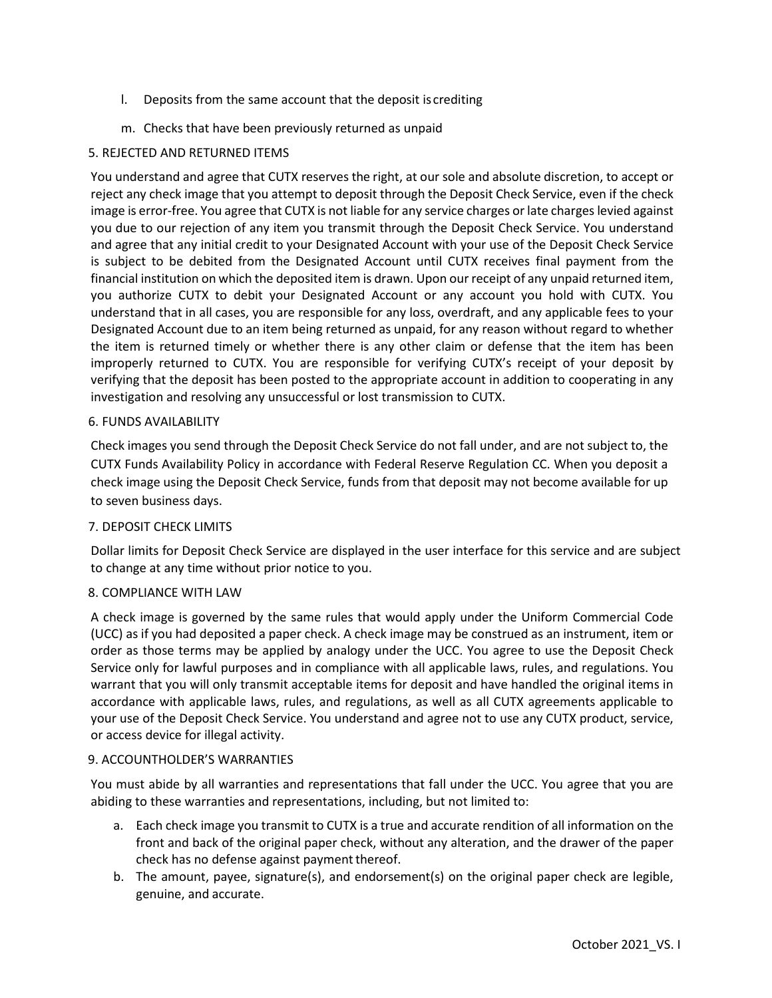- l. Deposits from the same account that the deposit is crediting
- m. Checks that have been previously returned as unpaid

# 5. REJECTED AND RETURNED ITEMS

You understand and agree that CUTX reserves the right, at our sole and absolute discretion, to accept or reject any check image that you attempt to deposit through the Deposit Check Service, even if the check image is error-free. You agree that CUTX is not liable for any service charges or late charges levied against you due to our rejection of any item you transmit through the Deposit Check Service. You understand and agree that any initial credit to your Designated Account with your use of the Deposit Check Service is subject to be debited from the Designated Account until CUTX receives final payment from the financial institution on which the deposited item is drawn. Upon our receipt of any unpaid returned item, you authorize CUTX to debit your Designated Account or any account you hold with CUTX. You understand that in all cases, you are responsible for any loss, overdraft, and any applicable fees to your Designated Account due to an item being returned as unpaid, for any reason without regard to whether the item is returned timely or whether there is any other claim or defense that the item has been improperly returned to CUTX. You are responsible for verifying CUTX's receipt of your deposit by verifying that the deposit has been posted to the appropriate account in addition to cooperating in any investigation and resolving any unsuccessful or lost transmission to CUTX.

### 6. FUNDS AVAILABILITY

Check images you send through the Deposit Check Service do not fall under, and are not subject to, the CUTX Funds Availability Policy in accordance with Federal Reserve Regulation CC. When you deposit a check image using the Deposit Check Service, funds from that deposit may not become available for up to seven business days.

## 7. DEPOSIT CHECK LIMITS

Dollar limits for Deposit Check Service are displayed in the user interface for this service and are subject to change at any time without prior notice to you.

## 8. COMPLIANCE WITH LAW

A check image is governed by the same rules that would apply under the Uniform Commercial Code (UCC) as if you had deposited a paper check. A check image may be construed as an instrument, item or order as those terms may be applied by analogy under the UCC. You agree to use the Deposit Check Service only for lawful purposes and in compliance with all applicable laws, rules, and regulations. You warrant that you will only transmit acceptable items for deposit and have handled the original items in accordance with applicable laws, rules, and regulations, as well as all CUTX agreements applicable to your use of the Deposit Check Service. You understand and agree not to use any CUTX product, service, or access device for illegal activity.

#### 9. ACCOUNTHOLDER'S WARRANTIES

You must abide by all warranties and representations that fall under the UCC. You agree that you are abiding to these warranties and representations, including, but not limited to:

- a. Each check image you transmit to CUTX is a true and accurate rendition of all information on the front and back of the original paper check, without any alteration, and the drawer of the paper check has no defense against payment thereof.
- b. The amount, payee, signature(s), and endorsement(s) on the original paper check are legible, genuine, and accurate.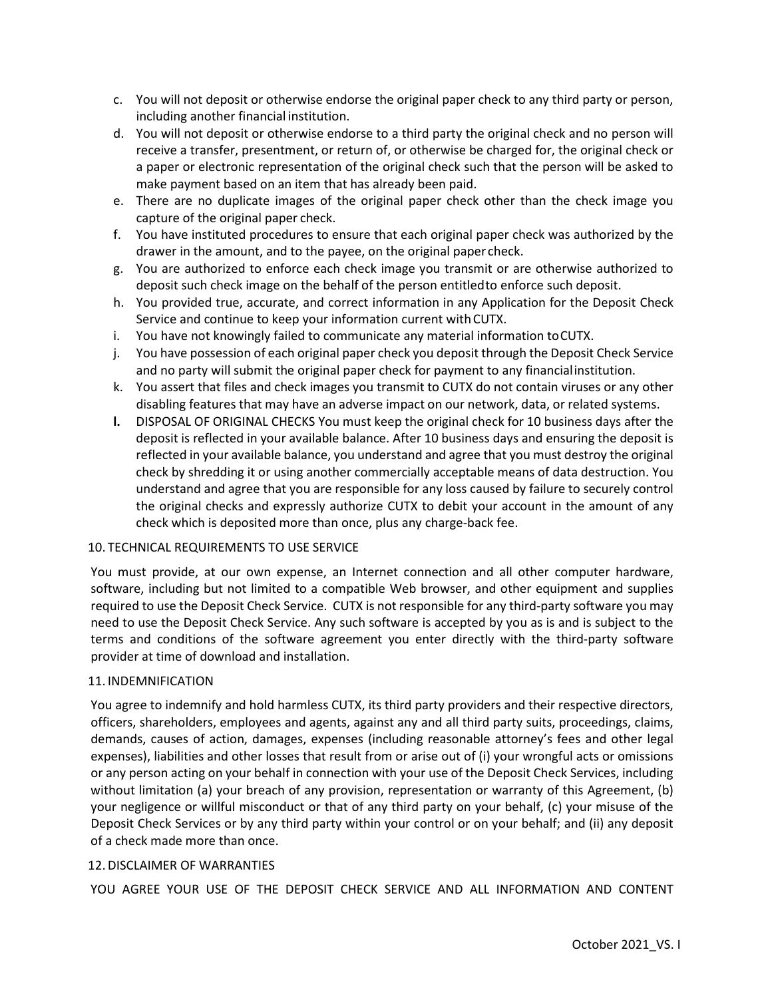- c. You will not deposit or otherwise endorse the original paper check to any third party or person, including another financial institution.
- d. You will not deposit or otherwise endorse to a third party the original check and no person will receive a transfer, presentment, or return of, or otherwise be charged for, the original check or a paper or electronic representation of the original check such that the person will be asked to make payment based on an item that has already been paid.
- e. There are no duplicate images of the original paper check other than the check image you capture of the original paper check.
- f. You have instituted procedures to ensure that each original paper check was authorized by the drawer in the amount, and to the payee, on the original paper check.
- g. You are authorized to enforce each check image you transmit or are otherwise authorized to deposit such check image on the behalf of the person entitledto enforce such deposit.
- h. You provided true, accurate, and correct information in any Application for the Deposit Check Service and continue to keep your information current withCUTX.
- i. You have not knowingly failed to communicate any material information toCUTX.
- j. You have possession of each original paper check you deposit through the Deposit Check Service and no party will submit the original paper check for payment to any financialinstitution.
- k. You assert that files and check images you transmit to CUTX do not contain viruses or any other disabling features that may have an adverse impact on our network, data, or related systems.
- **l.** DISPOSAL OF ORIGINAL CHECKS You must keep the original check for 10 business days after the deposit is reflected in your available balance. After 10 business days and ensuring the deposit is reflected in your available balance, you understand and agree that you must destroy the original check by shredding it or using another commercially acceptable means of data destruction. You understand and agree that you are responsible for any loss caused by failure to securely control the original checks and expressly authorize CUTX to debit your account in the amount of any check which is deposited more than once, plus any charge-back fee.

## 10. TECHNICAL REQUIREMENTS TO USE SERVICE

You must provide, at our own expense, an Internet connection and all other computer hardware, software, including but not limited to a compatible Web browser, and other equipment and supplies required to use the Deposit Check Service. CUTX is not responsible for any third-party software you may need to use the Deposit Check Service. Any such software is accepted by you as is and is subject to the terms and conditions of the software agreement you enter directly with the third-party software provider at time of download and installation.

## 11. INDEMNIFICATION

You agree to indemnify and hold harmless CUTX, its third party providers and their respective directors, officers, shareholders, employees and agents, against any and all third party suits, proceedings, claims, demands, causes of action, damages, expenses (including reasonable attorney's fees and other legal expenses), liabilities and other losses that result from or arise out of (i) your wrongful acts or omissions or any person acting on your behalf in connection with your use of the Deposit Check Services, including without limitation (a) your breach of any provision, representation or warranty of this Agreement, (b) your negligence or willful misconduct or that of any third party on your behalf, (c) your misuse of the Deposit Check Services or by any third party within your control or on your behalf; and (ii) any deposit of a check made more than once.

## 12.DISCLAIMER OF WARRANTIES

YOU AGREE YOUR USE OF THE DEPOSIT CHECK SERVICE AND ALL INFORMATION AND CONTENT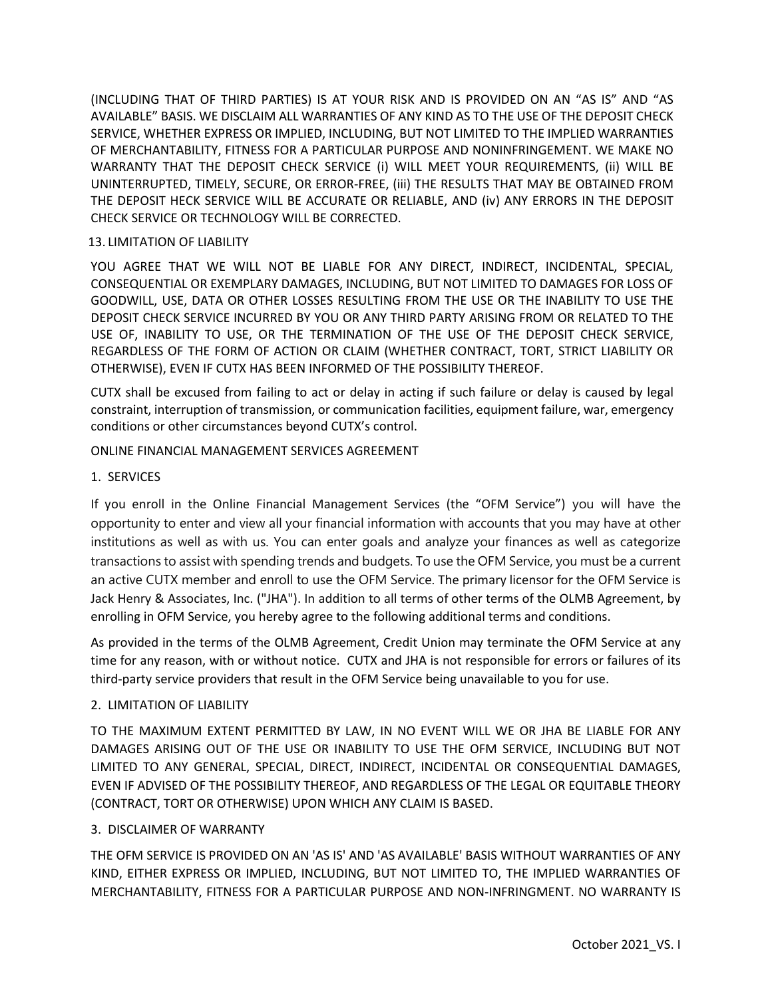(INCLUDING THAT OF THIRD PARTIES) IS AT YOUR RISK AND IS PROVIDED ON AN "AS IS" AND "AS AVAILABLE" BASIS. WE DISCLAIM ALL WARRANTIES OF ANY KIND AS TO THE USE OF THE DEPOSIT CHECK SERVICE, WHETHER EXPRESS OR IMPLIED, INCLUDING, BUT NOT LIMITED TO THE IMPLIED WARRANTIES OF MERCHANTABILITY, FITNESS FOR A PARTICULAR PURPOSE AND NONINFRINGEMENT. WE MAKE NO WARRANTY THAT THE DEPOSIT CHECK SERVICE (i) WILL MEET YOUR REQUIREMENTS, (ii) WILL BE UNINTERRUPTED, TIMELY, SECURE, OR ERROR-FREE, (iii) THE RESULTS THAT MAY BE OBTAINED FROM THE DEPOSIT HECK SERVICE WILL BE ACCURATE OR RELIABLE, AND (iv) ANY ERRORS IN THE DEPOSIT CHECK SERVICE OR TECHNOLOGY WILL BE CORRECTED.

### 13. LIMITATION OF LIABILITY

YOU AGREE THAT WE WILL NOT BE LIABLE FOR ANY DIRECT, INDIRECT, INCIDENTAL, SPECIAL, CONSEQUENTIAL OR EXEMPLARY DAMAGES, INCLUDING, BUT NOT LIMITED TO DAMAGES FOR LOSS OF GOODWILL, USE, DATA OR OTHER LOSSES RESULTING FROM THE USE OR THE INABILITY TO USE THE DEPOSIT CHECK SERVICE INCURRED BY YOU OR ANY THIRD PARTY ARISING FROM OR RELATED TO THE USE OF, INABILITY TO USE, OR THE TERMINATION OF THE USE OF THE DEPOSIT CHECK SERVICE, REGARDLESS OF THE FORM OF ACTION OR CLAIM (WHETHER CONTRACT, TORT, STRICT LIABILITY OR OTHERWISE), EVEN IF CUTX HAS BEEN INFORMED OF THE POSSIBILITY THEREOF.

CUTX shall be excused from failing to act or delay in acting if such failure or delay is caused by legal constraint, interruption of transmission, or communication facilities, equipment failure, war, emergency conditions or other circumstances beyond CUTX's control.

### ONLINE FINANCIAL MANAGEMENT SERVICES AGREEMENT

### 1. SERVICES

If you enroll in the Online Financial Management Services (the "OFM Service") you will have the opportunity to enter and view all your financial information with accounts that you may have at other institutions as well as with us. You can enter goals and analyze your finances as well as categorize transactions to assist with spending trends and budgets. To use the OFM Service, you must be a current an active CUTX member and enroll to use the OFM Service. The primary licensor for the OFM Service is Jack Henry & Associates, Inc. ("JHA"). In addition to all terms of other terms of the OLMB Agreement, by enrolling in OFM Service, you hereby agree to the following additional terms and conditions.

As provided in the terms of the OLMB Agreement, Credit Union may terminate the OFM Service at any time for any reason, with or without notice. CUTX and JHA is not responsible for errors or failures of its third-party service providers that result in the OFM Service being unavailable to you for use.

## 2. LIMITATION OF LIABILITY

TO THE MAXIMUM EXTENT PERMITTED BY LAW, IN NO EVENT WILL WE OR JHA BE LIABLE FOR ANY DAMAGES ARISING OUT OF THE USE OR INABILITY TO USE THE OFM SERVICE, INCLUDING BUT NOT LIMITED TO ANY GENERAL, SPECIAL, DIRECT, INDIRECT, INCIDENTAL OR CONSEQUENTIAL DAMAGES, EVEN IF ADVISED OF THE POSSIBILITY THEREOF, AND REGARDLESS OF THE LEGAL OR EQUITABLE THEORY (CONTRACT, TORT OR OTHERWISE) UPON WHICH ANY CLAIM IS BASED.

#### 3. DISCLAIMER OF WARRANTY

THE OFM SERVICE IS PROVIDED ON AN 'AS IS' AND 'AS AVAILABLE' BASIS WITHOUT WARRANTIES OF ANY KIND, EITHER EXPRESS OR IMPLIED, INCLUDING, BUT NOT LIMITED TO, THE IMPLIED WARRANTIES OF MERCHANTABILITY, FITNESS FOR A PARTICULAR PURPOSE AND NON-INFRINGMENT. NO WARRANTY IS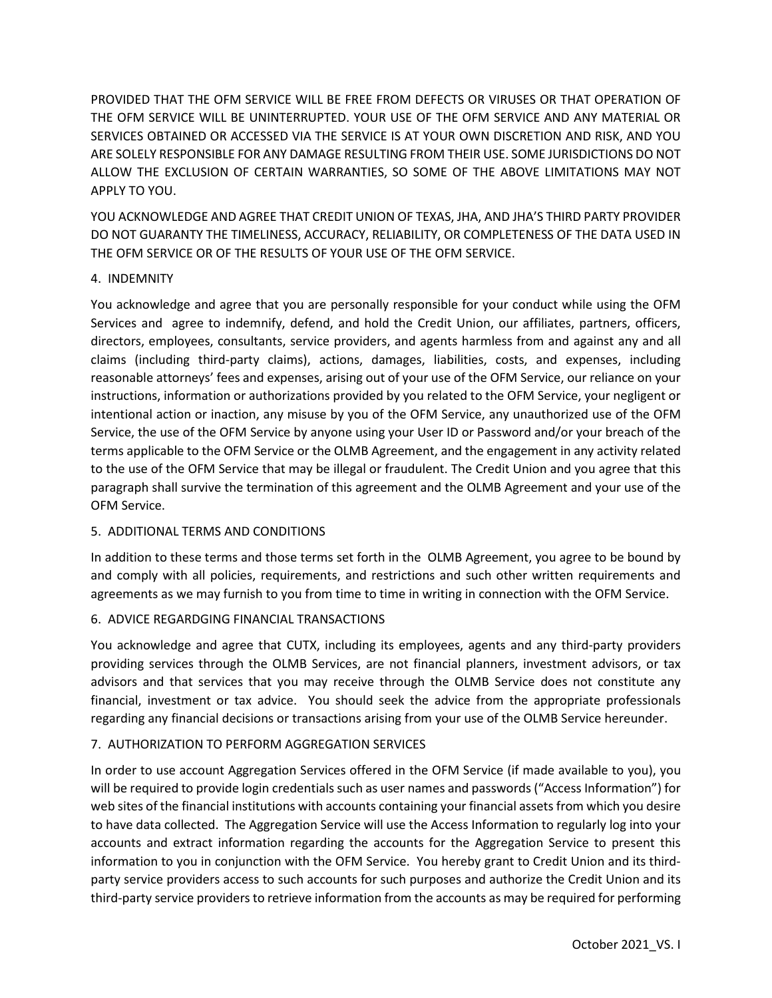PROVIDED THAT THE OFM SERVICE WILL BE FREE FROM DEFECTS OR VIRUSES OR THAT OPERATION OF THE OFM SERVICE WILL BE UNINTERRUPTED. YOUR USE OF THE OFM SERVICE AND ANY MATERIAL OR SERVICES OBTAINED OR ACCESSED VIA THE SERVICE IS AT YOUR OWN DISCRETION AND RISK, AND YOU ARE SOLELY RESPONSIBLE FOR ANY DAMAGE RESULTING FROM THEIR USE. SOME JURISDICTIONS DO NOT ALLOW THE EXCLUSION OF CERTAIN WARRANTIES, SO SOME OF THE ABOVE LIMITATIONS MAY NOT APPLY TO YOU.

YOU ACKNOWLEDGE AND AGREE THAT CREDIT UNION OF TEXAS, JHA, AND JHA'S THIRD PARTY PROVIDER DO NOT GUARANTY THE TIMELINESS, ACCURACY, RELIABILITY, OR COMPLETENESS OF THE DATA USED IN THE OFM SERVICE OR OF THE RESULTS OF YOUR USE OF THE OFM SERVICE.

# 4. INDEMNITY

You acknowledge and agree that you are personally responsible for your conduct while using the OFM Services and agree to indemnify, defend, and hold the Credit Union, our affiliates, partners, officers, directors, employees, consultants, service providers, and agents harmless from and against any and all claims (including third-party claims), actions, damages, liabilities, costs, and expenses, including reasonable attorneys' fees and expenses, arising out of your use of the OFM Service, our reliance on your instructions, information or authorizations provided by you related to the OFM Service, your negligent or intentional action or inaction, any misuse by you of the OFM Service, any unauthorized use of the OFM Service, the use of the OFM Service by anyone using your User ID or Password and/or your breach of the terms applicable to the OFM Service or the OLMB Agreement, and the engagement in any activity related to the use of the OFM Service that may be illegal or fraudulent. The Credit Union and you agree that this paragraph shall survive the termination of this agreement and the OLMB Agreement and your use of the OFM Service.

## 5. ADDITIONAL TERMS AND CONDITIONS

In addition to these terms and those terms set forth in the OLMB Agreement, you agree to be bound by and comply with all policies, requirements, and restrictions and such other written requirements and agreements as we may furnish to you from time to time in writing in connection with the OFM Service.

## 6. ADVICE REGARDGING FINANCIAL TRANSACTIONS

You acknowledge and agree that CUTX, including its employees, agents and any third-party providers providing services through the OLMB Services, are not financial planners, investment advisors, or tax advisors and that services that you may receive through the OLMB Service does not constitute any financial, investment or tax advice. You should seek the advice from the appropriate professionals regarding any financial decisions or transactions arising from your use of the OLMB Service hereunder.

# 7. AUTHORIZATION TO PERFORM AGGREGATION SERVICES

In order to use account Aggregation Services offered in the OFM Service (if made available to you), you will be required to provide login credentials such as user names and passwords ("Access Information") for web sites of the financial institutions with accounts containing your financial assets from which you desire to have data collected. The Aggregation Service will use the Access Information to regularly log into your accounts and extract information regarding the accounts for the Aggregation Service to present this information to you in conjunction with the OFM Service. You hereby grant to Credit Union and its thirdparty service providers access to such accounts for such purposes and authorize the Credit Union and its third-party service providers to retrieve information from the accounts as may be required for performing